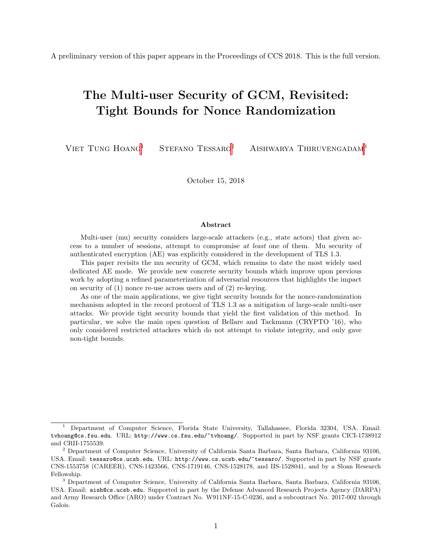A preliminary version of this paper appears in the Proceedings of CCS 2018. This is the full version.

# The Multi-user Security of GCM, Revisited: Tight Bounds for Nonce Randomization

VIET TUNG HOANG<sup>1</sup> STEFANO TESSARO<sup>2</sup> AISHWARYA THIRUVENGADAM<sup>3</sup>

October 15, 2018

#### Abstract

Multi-user (mu) security considers large-scale attackers (e.g., state actors) that given access to a number of sessions, attempt to compromise at least one of them. Mu security of authenticated encryption (AE) was explicitly considered in the development of TLS 1.3.

This paper revisits the mu security of GCM, which remains to date the most widely used dedicated AE mode. We provide new concrete security bounds which improve upon previous work by adopting a refined parameterization of adversarial resources that highlights the impact on security of (1) nonce re-use across users and of (2) re-keying.

As one of the main applications, we give tight security bounds for the nonce-randomization mechanism adopted in the record protocol of TLS 1.3 as a mitigation of large-scale multi-user attacks. We provide tight security bounds that yield the first validation of this method. In particular, we solve the main open question of Bellare and Tackmann (CRYPTO '16), who only considered restricted attackers which do not attempt to violate integrity, and only gave non-tight bounds.

<sup>&</sup>lt;sup>1</sup> Department of Computer Science, Florida State University, Tallahassee, Florida 32304, USA. Email: tvhoang@cs.fsu.edu. URL: http://www.cs.fsu.edu/~tvhoang/. Supported in part by NSF grants CICI-1738912 and CRII-1755539.

<sup>2</sup> Department of Computer Science, University of California Santa Barbara, Santa Barbara, California 93106, USA. Email: tessaro@cs.ucsb.edu. URL: http://www.cs.ucsb.edu/~tessaro/. Supported in part by NSF grants CNS-1553758 (CAREER), CNS-1423566, CNS-1719146, CNS-1528178, and IIS-1528041, and by a Sloan Research Fellowship.

<sup>3</sup> Department of Computer Science, University of California Santa Barbara, Santa Barbara, California 93106, USA. Email: aish@cs.ucsb.edu. Supported in part by the Defense Advanced Research Projects Agency (DARPA) and Army Research Office (ARO) under Contract No. W911NF-15-C-0236, and a subcontract No. 2017-002 through Galois.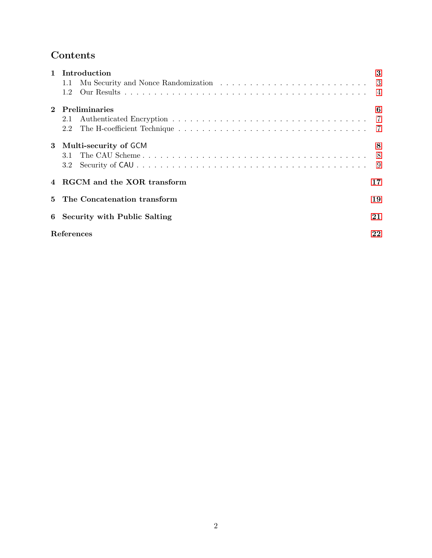# Contents

| $\mathbf{1}$ | Introduction                                                                                                |    |  |  |
|--------------|-------------------------------------------------------------------------------------------------------------|----|--|--|
|              | Mu Security and Nonce Randomization $\ldots \ldots \ldots \ldots \ldots \ldots \ldots \ldots \ldots$<br>1.1 |    |  |  |
|              | 1.2                                                                                                         |    |  |  |
|              | Preliminaries                                                                                               | 6  |  |  |
|              | 2.1                                                                                                         |    |  |  |
|              |                                                                                                             |    |  |  |
|              | 3 Multi-security of GCM                                                                                     | 8  |  |  |
|              |                                                                                                             | 8  |  |  |
|              | 3.2                                                                                                         | -9 |  |  |
|              | RGCM and the XOR transform                                                                                  | 17 |  |  |
| $5^{\circ}$  | The Concatenation transform                                                                                 |    |  |  |
|              | 6 Security with Public Salting                                                                              |    |  |  |
|              | References                                                                                                  |    |  |  |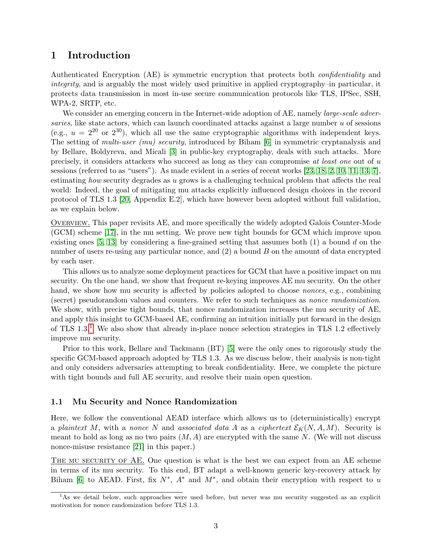### <span id="page-2-3"></span><span id="page-2-0"></span>1 Introduction

Authenticated Encryption (AE) is symmetric encryption that protects both confidentiality and integrity, and is arguably the most widely used primitive in applied cryptography–in particular, it protects data transmission in most in-use secure communication protocols like TLS, IPSec, SSH, WPA-2, SRTP, etc.

We consider an emerging concern in the Internet-wide adoption of AE, namely *large-scale adver*saries, like state actors, which can launch coordinated attacks against a large number u of sessions (e.g.,  $u = 2^{20}$  or  $2^{30}$ ), which all use the same cryptographic algorithms with independent keys. The setting of multi-user (mu) security, introduced by Biham [\[6\]](#page-21-1) in symmetric cryptanalysis and by Bellare, Boldyreva, and Micali [\[3\]](#page-21-2) in public-key cryptography, deals with such attacks. More precisely, it considers attackers who succeed as long as they can compromise at least one out of u sessions (referred to as "users"). As made evident in a series of recent works [\[23,](#page-22-0) [18,](#page-22-1) [2,](#page-21-3) [10,](#page-22-2) [11,](#page-22-3) [13,](#page-22-4) [7\]](#page-21-4), estimating how security degrades as u grows is a challenging technical problem that affects the real world: Indeed, the goal of mitigating mu attacks explicitly influenced design choices in the record protocol of TLS 1.3 [\[20,](#page-22-5) Appendix E.2], which have however been adopted without full validation, as we explain below.

Overview. This paper revisits AE, and more specifically the widely adopted Galois Counter-Mode (GCM) scheme [\[17\]](#page-22-6), in the mu setting. We prove new tight bounds for GCM which improve upon existing ones [\[5,](#page-21-5) [13\]](#page-22-4) by considering a fine-grained setting that assumes both  $(1)$  a bound d on the number of users re-using any particular nonce, and  $(2)$  a bound  $B$  on the amount of data encrypted by each user.

This allows us to analyze some deployment practices for GCM that have a positive impact on mu security. On the one hand, we show that frequent re-keying improves AE mu security. On the other hand, we show how mu security is affected by policies adopted to choose *nonces*, e.g., combining (secret) pseudorandom values and counters. We refer to such techniques as nonce randomization. We show, with precise tight bounds, that nonce randomization increases the mu security of AE, and apply this insight to GCM-based AE, confirming an intuition initially put forward in the design of TLS 1.3.[1](#page-2-2) We also show that already in-place nonce selection strategies in TLS 1.2 effectively improve mu security.

Prior to this work, Bellare and Tackmann (BT) [\[5\]](#page-21-5) were the only ones to rigorously study the specific GCM-based approach adopted by TLS 1.3. As we discuss below, their analysis is non-tight and only considers adversaries attempting to break confidentiality. Here, we complete the picture with tight bounds and full AE security, and resolve their main open question.

#### <span id="page-2-1"></span>1.1 Mu Security and Nonce Randomization

Here, we follow the conventional AEAD interface which allows us to (deterministically) encrypt a plaintext M, with a nonce N and associated data A as a ciphertext  $\mathcal{E}_K(N, A, M)$ . Security is meant to hold as long as no two pairs  $(M, A)$  are encrypted with the same N. (We will not discuss nonce-misuse resistance [\[21\]](#page-22-7) in this paper.)

THE MU SECURITY OF AE. One question is what is the best we can expect from an AE scheme in terms of its mu security. To this end, BT adapt a well-known generic key-recovery attack by Biham [\[6\]](#page-21-1) to AEAD. First, fix  $N^*$ ,  $A^*$  and  $M^*$ , and obtain their encryption with respect to u

<span id="page-2-2"></span><sup>&</sup>lt;sup>1</sup>As we detail below, such approaches were used before, but never was mu security suggested as an explicit motivation for nonce randomization before TLS 1.3.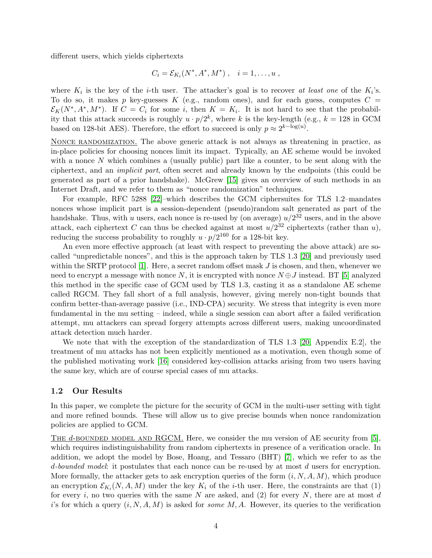<span id="page-3-1"></span>different users, which yields ciphertexts

$$
C_i = \mathcal{E}_{K_i}(N^*, A^*, M^*) , \quad i = 1, \dots, u ,
$$

where  $K_i$  is the key of the *i*-th user. The attacker's goal is to recover at least one of the  $K_i$ 's. To do so, it makes p key-guesses K (e.g., random ones), and for each guess, computes  $C =$  $\mathcal{E}_K(N^*, A^*, M^*)$ . If  $C = C_i$  for some i, then  $K = K_i$ . It is not hard to see that the probability that this attack succeeds is roughly  $u \cdot p/2^k$ , where k is the key-length (e.g.,  $k = 128$  in GCM based on 128-bit AES). Therefore, the effort to succeed is only  $p \approx 2^{k-\log(u)}$ .

NONCE RANDOMIZATION. The above generic attack is not always as threatening in practice, as in-place policies for choosing nonces limit its impact. Typically, an AE scheme would be invoked with a nonce N which combines a (usually public) part like a counter, to be sent along with the ciphertext, and an implicit part, often secret and already known by the endpoints (this could be generated as part of a prior handshake). McGrew [\[15\]](#page-22-8) gives an overview of such methods in an Internet Draft, and we refer to them as "nonce randomization" techniques.

For example, RFC 5288 [\[22\]](#page-22-9)–which describes the GCM ciphersuites for TLS 1.2–mandates nonces whose implicit part is a session-dependent (pseudo)random salt generated as part of the handshake. Thus, with u users, each nonce is re-used by (on average)  $u/2^{32}$  users, and in the above attack, each ciphertext C can thus be checked against at most  $u/2^{32}$  ciphertexts (rather than u), reducing the success probability to roughly  $u \cdot p/2^{160}$  for a 128-bit key.

An even more effective approach (at least with respect to preventing the above attack) are socalled "unpredictable nonces", and this is the approach taken by TLS 1.3 [\[20\]](#page-22-5) and previously used within the SRTP protocol  $[1]$ . Here, a secret random offset mask J is chosen, and then, whenever we need to encrypt a message with nonce  $N$ , it is encrypted with nonce  $N \oplus J$  instead. BT [\[5\]](#page-21-5) analyzed this method in the specific case of GCM used by TLS 1.3, casting it as a standalone AE scheme called RGCM. They fall short of a full analysis, however, giving merely non-tight bounds that confirm better-than-average passive (i.e., IND-CPA) security. We stress that integrity is even more fundamental in the mu setting – indeed, while a single session can abort after a failed verification attempt, mu attackers can spread forgery attempts across different users, making uncoordinated attack detection much harder.

We note that with the exception of the standardization of TLS 1.3 [\[20,](#page-22-5) Appendix E.2], the treatment of mu attacks has not been explicitly mentioned as a motivation, even though some of the published motivating work [\[16\]](#page-22-10) considered key-collision attacks arising from two users having the same key, which are of course special cases of mu attacks.

### <span id="page-3-0"></span>1.2 Our Results

In this paper, we complete the picture for the security of GCM in the multi-user setting with tight and more refined bounds. These will allow us to give precise bounds when nonce randomization policies are applied to GCM.

THE d-BOUNDED MODEL AND RGCM. Here, we consider the mu version of AE security from [\[5\]](#page-21-5). which requires indistinguishability from random ciphertexts in presence of a verification oracle. In addition, we adopt the model by Bose, Hoang, and Tessaro (BHT) [\[7\]](#page-21-4), which we refer to as the d-bounded model: it postulates that each nonce can be re-used by at most d users for encryption. More formally, the attacker gets to ask encryption queries of the form  $(i, N, A, M)$ , which produce an encryption  $\mathcal{E}_{K_i}(N, A, M)$  under the key  $K_i$  of the *i*-th user. Here, the constraints are that (1) for every i, no two queries with the same  $N$  are asked, and (2) for every  $N$ , there are at most  $d$ i's for which a query  $(i, N, A, M)$  is asked for *some M, A.* However, its queries to the verification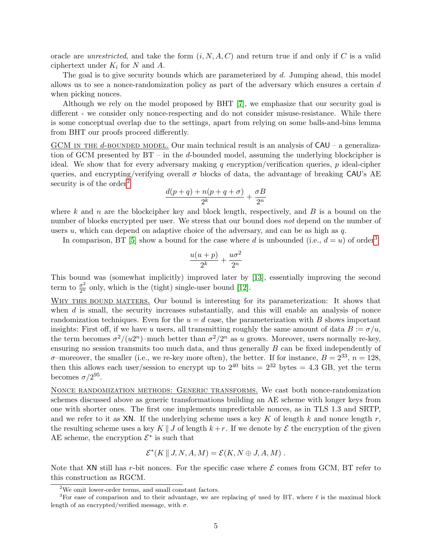<span id="page-4-2"></span>oracle are *unrestricted*, and take the form  $(i, N, A, C)$  and return true if and only if C is a valid ciphertext under  $K_i$  for N and A.

The goal is to give security bounds which are parameterized by d. Jumping ahead, this model allows us to see a nonce-randomization policy as part of the adversary which ensures a certain d when picking nonces.

Although we rely on the model proposed by BHT [\[7\]](#page-21-4), we emphasize that our security goal is different - we consider only nonce-respecting and do not consider misuse-resistance. While there is some conceptual overlap due to the settings, apart from relying on some balls-and-bins lemma from BHT our proofs proceed differently.

GCM IN THE d-BOUNDED MODEL. Our main technical result is an analysis of  $CAU - a$  generalization of GCM presented by BT – in the d-bounded model, assuming the underlying blockcipher is ideal. We show that for every adversary making q encryption/verification queries,  $p$  ideal-cipher queries, and encrypting/verifying overall  $\sigma$  blocks of data, the advantage of breaking CAU's AE security is of the order<sup>[2](#page-4-0)</sup>

$$
\frac{d(p+q)+n(p+q+\sigma)}{2^k}+\frac{\sigma B}{2^n}
$$

where k and n are the blockcipher key and block length, respectively, and B is a bound on the number of blocks encrypted per user. We stress that our bound does not depend on the number of users  $u$ , which can depend on adaptive choice of the adversary, and can be as high as  $q$ .

In comparison, BT [\[5\]](#page-21-5) show a bound for the case where d is unbounded (i.e.,  $d = u$ ) of order<sup>[3](#page-4-1)</sup>

$$
\frac{u(u+p)}{2^k}+\frac{u\sigma^2}{2^n}
$$

This bound was (somewhat implicitly) improved later by [\[13\]](#page-22-4), essentially improving the second term to  $\frac{\sigma^2}{2^n}$  only, which is the (tight) single-user bound [\[12\]](#page-22-11).

WHY THIS BOUND MATTERS. Our bound is interesting for its parameterization: It shows that when  $d$  is small, the security increases substantially, and this will enable an analysis of nonce randomization techniques. Even for the  $u = d$  case, the parameterization with B shows important insights: First off, if we have u users, all transmitting roughly the same amount of data  $B := \sigma/u$ , the term becomes  $\sigma^2/(u2^n)$ -much better than  $\sigma^2/2^n$  as u grows. Moreover, users normally re-key, ensuring no session transmits too much data, and thus generally  $B$  can be fixed independently of  $\sigma$ -moreover, the smaller (i.e., we re-key more often), the better. If for instance,  $B = 2^{33}$ ,  $n = 128$ , then this allows each user/session to encrypt up to  $2^{40}$  bits =  $2^{32}$  bytes = 4.3 GB, yet the term becomes  $\sigma/2^{95}$ .

Nonce randomization methods: Generic transforms. We cast both nonce-randomization schemes discussed above as generic transformations building an AE scheme with longer keys from one with shorter ones. The first one implements unpredictable nonces, as in TLS 1.3 and SRTP, and we refer to it as  $XN$ . If the underlying scheme uses a key K of length k and nonce length r, the resulting scheme uses a key K || J of length  $k+r$ . If we denote by  $\mathcal E$  the encryption of the given AE scheme, the encryption  $\mathcal{E}^*$  is such that

$$
\mathcal{E}^*(K \parallel J, N, A, M) = \mathcal{E}(K, N \oplus J, A, M) .
$$

Note that XN still has r-bit nonces. For the specific case where  $\mathcal E$  comes from GCM, BT refer to this construction as RGCM.

<span id="page-4-1"></span><span id="page-4-0"></span> $^2\rm{We}$  omit lower-order terms, and small constant factors.

<sup>&</sup>lt;sup>3</sup>For ease of comparison and to their advantage, we are replacing  $q\ell$  used by BT, where  $\ell$  is the maximal block length of an encrypted/verified message, with  $\sigma$ .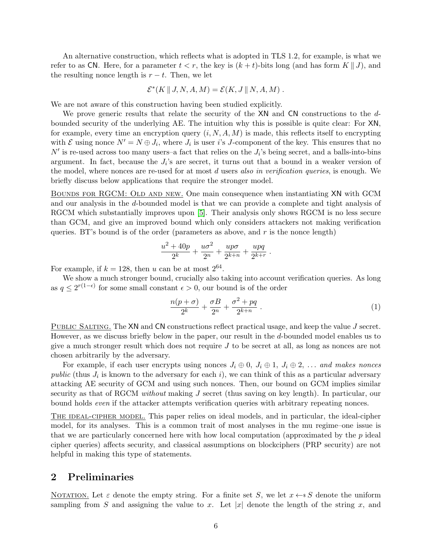<span id="page-5-1"></span>An alternative construction, which reflects what is adopted in TLS 1.2, for example, is what we refer to as CN. Here, for a parameter  $t < r$ , the key is  $(k + t)$ -bits long (and has form  $K \parallel J$ ), and the resulting nonce length is  $r - t$ . Then, we let

$$
\mathcal{E}^*(K \parallel J, N, A, M) = \mathcal{E}(K, J \parallel N, A, M) .
$$

We are not aware of this construction having been studied explicitly.

We prove generic results that relate the security of the XN and CN constructions to the dbounded security of the underlying AE. The intuition why this is possible is quite clear: For XN, for example, every time an encryption query  $(i, N, A, M)$  is made, this reflects itself to encrypting with  $\mathcal E$  using nonce  $N' = N \oplus J_i$ , where  $J_i$  is user i's J-component of the key. This ensures that no  $N'$  is re-used across too many users–a fact that relies on the  $J_i$ 's being secret, and a balls-into-bins argument. In fact, because the  $J_i$ 's are secret, it turns out that a bound in a weaker version of the model, where nonces are re-used for at most  $d$  users also in verification queries, is enough. We briefly discuss below applications that require the stronger model.

BOUNDS FOR RGCM: OLD AND NEW. One main consequence when instantiating XN with GCM and our analysis in the d-bounded model is that we can provide a complete and tight analysis of RGCM which substantially improves upon [\[5\]](#page-21-5). Their analysis only shows RGCM is no less secure than GCM, and give an improved bound which only considers attackers not making verification queries. BT's bound is of the order (parameters as above, and  $r$  is the nonce length)

$$
\frac{u^2 + 40p}{2^k} + \frac{u\sigma^2}{2^n} + \frac{up\sigma}{2^{k+n}} + \frac{upq}{2^{k+n}}.
$$

For example, if  $k = 128$ , then u can be at most  $2^{64}$ .

We show a much stronger bound, crucially also taking into account verification queries. As long as  $q \leq 2^{r(1-\epsilon)}$  for some small constant  $\epsilon > 0$ , our bound is of the order

$$
\frac{n(p+\sigma)}{2^k} + \frac{\sigma B}{2^n} + \frac{\sigma^2 + pq}{2^{k+n}}.
$$
\n<sup>(1)</sup>

PUBLIC SALTING. The XN and CN constructions reflect practical usage, and keep the value J secret. However, as we discuss briefly below in the paper, our result in the d-bounded model enables us to give a much stronger result which does not require  $J$  to be secret at all, as long as nonces are not chosen arbitrarily by the adversary.

For example, if each user encrypts using nonces  $J_i \oplus 0, J_i \oplus 1, J_i \oplus 2, \ldots$  and makes nonces public (thus  $J_i$  is known to the adversary for each i), we can think of this as a particular adversary attacking AE security of GCM and using such nonces. Then, our bound on GCM implies similar security as that of RGCM without making  $J$  secret (thus saving on key length). In particular, our bound holds even if the attacker attempts verification queries with arbitrary repeating nonces.

THE IDEAL-CIPHER MODEL. This paper relies on ideal models, and in particular, the ideal-cipher model, for its analyses. This is a common trait of most analyses in the mu regime–one issue is that we are particularly concerned here with how local computation (approximated by the  $p$  ideal cipher queries) affects security, and classical assumptions on blockciphers (PRP security) are not helpful in making this type of statements.

### <span id="page-5-0"></span>2 Preliminaries

NOTATION. Let  $\varepsilon$  denote the empty string. For a finite set S, we let  $x \leftarrow s S$  denote the uniform sampling from S and assigning the value to x. Let  $|x|$  denote the length of the string x, and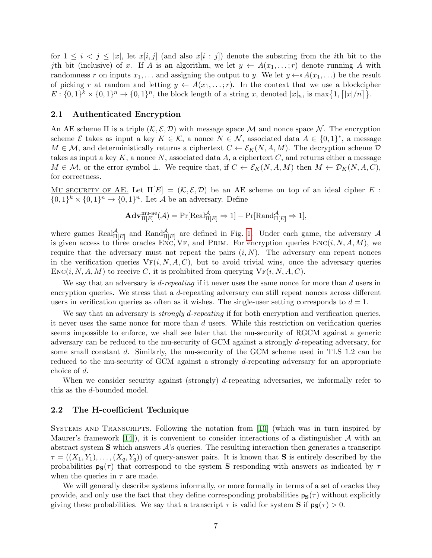<span id="page-6-2"></span>for  $1 \leq i \leq j \leq |x|$ , let  $x[i, j]$  (and also  $x[i : j]$ ) denote the substring from the *i*th bit to the jth bit (inclusive) of x. If A is an algorithm, we let  $y \leftarrow A(x_1, \ldots; r)$  denote running A with randomness r on inputs  $x_1, \ldots$  and assigning the output to y. We let  $y \leftarrow s A(x_1, \ldots)$  be the result of picking r at random and letting  $y \leftarrow A(x_1,...;r)$ . In the context that we use a blockcipher  $E: \{0,1\}^k \times \{0,1\}^n \to \{0,1\}^n$ , the block length of a string x, denoted  $|x|_n$ , is  $\max\{1, |x|/n\}$ .

### <span id="page-6-0"></span>2.1 Authenticated Encryption

An AE scheme  $\Pi$  is a triple  $(K, \mathcal{E}, \mathcal{D})$  with message space M and nonce space N. The encryption scheme  $\mathcal E$  takes as input a key  $K \in \mathcal K$ , a nonce  $N \in \mathcal N$ , associated data  $A \in \{0,1\}^*$ , a message  $M \in \mathcal{M}$ , and deterministically returns a ciphertext  $C \leftarrow \mathcal{E}_K(N, A, M)$ . The decryption scheme  $D$ takes as input a key  $K$ , a nonce  $N$ , associated data  $A$ , a ciphertext  $C$ , and returns either a message  $M \in \mathcal{M}$ , or the error symbol  $\perp$ . We require that, if  $C \leftarrow \mathcal{E}_K(N, A, M)$  then  $M \leftarrow \mathcal{D}_K(N, A, C)$ , for correctness.

MU SECURITY OF AE. Let  $\Pi[E] = (\mathcal{K}, \mathcal{E}, \mathcal{D})$  be an AE scheme on top of an ideal cipher E:  $\{0,1\}^k \times \{0,1\}^n \to \{0,1\}^n$ . Let A be an adversary. Define

$$
\mathbf{Adv}_{\Pi[E]}^{\mathrm{mu-ae}}(\mathcal{A}) = \Pr[\mathrm{Real}_{\Pi[E]}^{\mathcal{A}} \Rightarrow 1] - \Pr[\mathrm{Rand}_{\Pi[E]}^{\mathcal{A}} \Rightarrow 1],
$$

where games  $\text{Real}_{\Pi[E]}^{\mathcal{A}}$  and  $\text{Rand}_{\Pi[E]}^{\mathcal{A}}$  are defined in Fig. [1.](#page-7-2) Under each game, the adversary  $\mathcal{A}$ is given access to three oracles ENC, VF, and PRIM. For encryption queries  $Enc(i, N, A, M)$ , we require that the adversary must not repeat the pairs  $(i, N)$ . The adversary can repeat nonces in the verification queries  $V_{F}(i, N, A, C)$ , but to avoid trivial wins, once the adversary queries  $Enc(i, N, A, M)$  to receive C, it is prohibited from querying  $V_{F}(i, N, A, C)$ .

We say that an adversary is  $d$ -repeating if it never uses the same nonce for more than  $d$  users in encryption queries. We stress that a d-repeating adversary can still repeat nonces across different users in verification queries as often as it wishes. The single-user setting corresponds to  $d = 1$ .

We say that an adversary is *strongly d-repeating* if for both encryption and verification queries, it never uses the same nonce for more than d users. While this restriction on verification queries seems impossible to enforce, we shall see later that the mu-security of RGCM against a generic adversary can be reduced to the mu-security of GCM against a strongly d-repeating adversary, for some small constant d. Similarly, the mu-security of the GCM scheme used in TLS 1.2 can be reduced to the mu-security of GCM against a strongly d-repeating adversary for an appropriate choice of d.

When we consider security against (strongly) d-repeating adversaries, we informally refer to this as the d-bounded model.

#### <span id="page-6-1"></span>2.2 The H-coefficient Technique

Systems and Transcripts. Following the notation from [\[10\]](#page-22-2) (which was in turn inspired by Maurer's framework [\[14\]](#page-22-12)), it is convenient to consider interactions of a distinguisher  $\mathcal A$  with an abstract system  $S$  which answers  $A$ 's queries. The resulting interaction then generates a transcript  $\tau = ((X_1, Y_1), \ldots, (X_q, Y_q))$  of query-answer pairs. It is known that S is entirely described by the probabilities  $p_S(\tau)$  that correspond to the system S responding with answers as indicated by  $\tau$ when the queries in  $\tau$  are made.

We will generally describe systems informally, or more formally in terms of a set of oracles they provide, and only use the fact that they define corresponding probabilities  $p_S(\tau)$  without explicitly giving these probabilities. We say that a transcript  $\tau$  is valid for system **S** if  $p_S(\tau) > 0$ .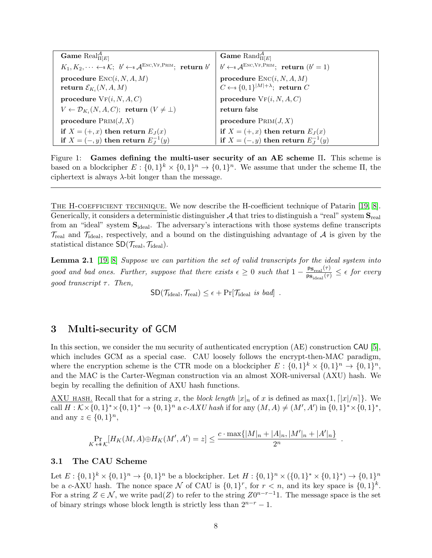<span id="page-7-4"></span>

| <b>Game</b> Real $_{\Pi[E]}^{\mathcal{A}}$                                                             | <b>Game</b> Rand $_{\Pi[E]}^{\mathcal{A}}$                                               |  |
|--------------------------------------------------------------------------------------------------------|------------------------------------------------------------------------------------------|--|
| $K_1, K_2, \dots \leftarrow \mathcal{K}; \; b' \leftarrow \mathcal{A}^{\text{ENC,VF,PRIM}};$ return b' | $b' \leftarrow \mathcal{A}^{\text{ENC,VF,PRIM}};$ return $(b' = 1)$                      |  |
| procedure $Enc(i, N, A, M)$<br>return $\mathcal{E}_{K_i}(N, A, M)$                                     | procedure $\text{Enc}(i, N, A, M)$<br>$C \leftarrow \{0, 1\}^{ M  + \lambda}$ ; return C |  |
| procedure $VF(i, N, A, C)$                                                                             | procedure $VF(i, N, A, C)$                                                               |  |
| $V \leftarrow \mathcal{D}_{K_i}(N, A, C);$ return $(V \neq \bot)$                                      | return false                                                                             |  |
| procedure $P_{\text{RIM}}(J, X)$                                                                       | procedure $P_{\text{RIM}}(J,X)$                                                          |  |
| if $X = (+,x)$ then return $E_J(x)$                                                                    | if $X = (+,x)$ then return $E_J(x)$<br>if $X = (-,y)$ then return $E_J^{-1}(y)$          |  |
| if $X = (-, y)$ then return $E_I^{-1}(y)$                                                              |                                                                                          |  |

<span id="page-7-2"></span>Figure 1: Games defining the multi-user security of an AE scheme Π. This scheme is based on a blockcipher  $E: \{0,1\}^k \times \{0,1\}^n \to \{0,1\}^n$ . We assume that under the scheme  $\Pi$ , the ciphertext is always  $\lambda$ -bit longer than the message.

The H-coefficient technique. We now describe the H-coefficient technique of Patarin [\[19,](#page-22-13) [8\]](#page-21-7). Generically, it considers a deterministic distinguisher A that tries to distinguish a "real" system  $S_{\text{real}}$ from an "ideal" system  $S_{ideal}$ . The adversary's interactions with those systems define transcripts  $\mathcal{T}_{\text{real}}$  and  $\mathcal{T}_{\text{ideal}}$ , respectively, and a bound on the distinguishing advantage of A is given by the statistical distance  $SD(\mathcal{T}_{\text{real}}, \mathcal{T}_{\text{ideal}})$ .

<span id="page-7-3"></span>**Lemma 2.1** [\[19,](#page-22-13) [8\]](#page-21-7) Suppose we can partition the set of valid transcripts for the ideal system into good and bad ones. Further, suppose that there exists  $\epsilon \geq 0$  such that  $1 - \frac{ps_{\text{real}}(\tau)}{ps_{\text{ideal}}(\tau)} \leq \epsilon$  for every good transcript  $\tau$ . Then,

 $\text{SD}(\mathcal{T}_{\text{ideal}}, \mathcal{T}_{\text{real}}) \leq \epsilon + \Pr[\mathcal{T}_{\text{ideal}} \text{ is } bad].$ 

# <span id="page-7-0"></span>3 Multi-security of GCM

In this section, we consider the mu security of authenticated encryption (AE) construction CAU [\[5\]](#page-21-5), which includes GCM as a special case. CAU loosely follows the encrypt-then-MAC paradigm, where the encryption scheme is the CTR mode on a blockcipher  $E: \{0,1\}^k \times \{0,1\}^n \rightarrow \{0,1\}^n$ , and the MAC is the Carter-Wegman construction via an almost XOR-universal (AXU) hash. We begin by recalling the definition of AXU hash functions.

AXU HASH. Recall that for a string x, the block length  $|x|_n$  of x is defined as max $\{1, [|x|/n]\}$ . We call  $H: K \times \{0,1\}^* \times \{0,1\}^* \to \{0,1\}^n$  a c-AXU hash if for any  $(M, A) \neq (M', A')$  in  $\{0,1\}^* \times \{0,1\}^*$ , and any  $z \in \{0,1\}^n$ ,

$$
\Pr_{K \iff K}[H_K(M, A) \oplus H_K(M', A') = z] \le \frac{c \cdot \max\{|M|_n + |A|_n, |M'|_n + |A'|_n\}}{2^n}
$$

.

### <span id="page-7-1"></span>3.1 The CAU Scheme

Let  $E: \{0,1\}^k \times \{0,1\}^n \to \{0,1\}^n$  be a blockcipher. Let  $H: \{0,1\}^n \times \{0,1\}^* \times \{0,1\}^* \to \{0,1\}^n$ be a c-AXU hash. The nonce space N of CAU is  $\{0,1\}^r$ , for  $r < n$ , and its key space is  $\{0,1\}^k$ . For a string  $Z \in \mathcal{N}$ , we write pad(Z) to refer to the string  $Z0^{n-r-1}1$ . The message space is the set of binary strings whose block length is strictly less than  $2^{n-r} - 1$ .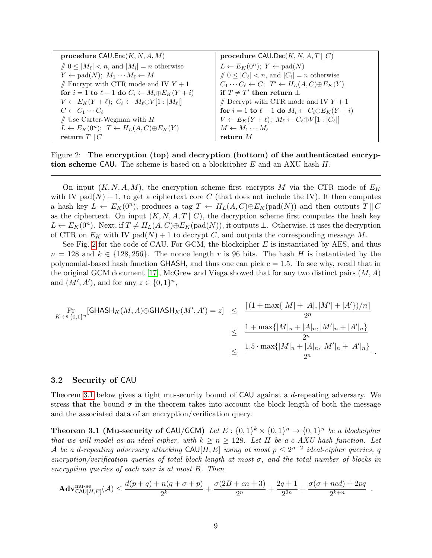<span id="page-8-3"></span>

| procedure $CAU.Enc(K, N, A, M)$                                               | procedure $CAU\text{.Dec}(K, N, A, T \parallel C)$                            |  |
|-------------------------------------------------------------------------------|-------------------------------------------------------------------------------|--|
| $\parallel 0 \leq  M_{\ell}  < n$ , and $ M_i  = n$ otherwise                 | $L \leftarrow E_K(0^n); Y \leftarrow \text{pad}(N)$                           |  |
| $Y \leftarrow \text{pad}(N); M_1 \cdots M_\ell \leftarrow M$                  | $\parallel 0 \leq  C_{\ell}  < n$ , and $ C_i  = n$ otherwise                 |  |
| $\mathbin{/\!\!/}$ Encrypt with CTR mode and IV $Y+1$                         | $C_1 \cdots C_\ell \leftarrow C; \ T' \leftarrow H_L(A, C) \oplus E_K(Y)$     |  |
| for $i = 1$ to $\ell - 1$ do $C_i \leftarrow M_i \oplus E_K(Y + i)$           | if $T \neq T'$ then return $\perp$                                            |  |
| $V \leftarrow E_K(Y + \ell); C_\ell \leftarrow M_\ell \oplus V[1 :  M_\ell ]$ | // Decrypt with CTR mode and IV $Y + 1$                                       |  |
| $C \leftarrow C_1 \cdots C_{\ell}$                                            | for $i = 1$ to $\ell - 1$ do $M_i \leftarrow C_i \oplus E_K(Y + i)$           |  |
| $\#$ Use Carter-Wegman with $H$                                               | $V \leftarrow E_K(Y + \ell); M_\ell \leftarrow C_\ell \oplus V[1 :  C_\ell ]$ |  |
| $L \leftarrow E_K(0^n); \ T \leftarrow H_L(A, C) \oplus E_K(Y)$               | $M \leftarrow M_1 \cdots M_\ell$                                              |  |
| return $T \parallel C$                                                        | return $M$                                                                    |  |

<span id="page-8-1"></span>Figure 2: The encryption (top) and decryption (bottom) of the authenticated encryption scheme CAU. The scheme is based on a blockcipher  $E$  and an AXU hash  $H$ .

On input  $(K, N, A, M)$ , the encryption scheme first encrypts M via the CTR mode of  $E_K$ with IV pad $(N) + 1$ , to get a ciphertext core C (that does not include the IV). It then computes a hash key  $L \leftarrow E_K(0^n)$ , produces a tag  $T \leftarrow H_L(A, C) \oplus E_K(\text{pad}(N))$  and then outputs  $T \parallel C$ as the ciphertext. On input  $(K, N, A, T \parallel C)$ , the decryption scheme first computes the hash key  $L \leftarrow E_K(0^n)$ . Next, if  $T \neq H_L(A, C) \oplus E_K(pad(N))$ , it outputs  $\perp$ . Otherwise, it uses the decryption of CTR on  $E_K$  with IV pad $(N) + 1$  to decrypt C, and outputs the corresponding message M.

See Fig. [2](#page-8-1) for the code of CAU. For GCM, the blockcipher  $E$  is instantiated by AES, and thus  $n = 128$  and  $k \in \{128, 256\}$ . The nonce length r is 96 bits. The hash H is instantiated by the polynomial-based hash function GHASH, and thus one can pick  $c = 1.5$ . To see why, recall that in the original GCM document [\[17\]](#page-22-6), McGrew and Viega showed that for any two distinct pairs  $(M, A)$ and  $(M', A')$ , and for any  $z \in \{0, 1\}^n$ ,

$$
\Pr_{K \leftrightarrow \{0,1\}^n}[\text{GHASH}_K(M, A) \oplus \text{GHASH}_K(M', A') = z] \leq \frac{[(1 + \max\{|M| + |A|, |M'| + |A'\})/n]}{2^n}
$$
  

$$
\leq \frac{1 + \max\{|M|_n + |A|_n, |M'|_n + |A'|_n\}}{2^n}
$$
  

$$
\leq \frac{1.5 \cdot \max\{|M|_n + |A|_n, |M'|_n + |A'|_n\}}{2^n}.
$$

### <span id="page-8-0"></span>3.2 Security of CAU

Theorem [3.1](#page-8-2) below gives a tight mu-security bound of CAU against a d-repeating adversary. We stress that the bound  $\sigma$  in the theorem takes into account the block length of both the message and the associated data of an encryption/verification query.

<span id="page-8-2"></span>**Theorem 3.1 (Mu-security of CAU/GCM)** Let  $E: \{0,1\}^k \times \{0,1\}^n \rightarrow \{0,1\}^n$  be a blockcipher that we will model as an ideal cipher, with  $k \ge n \ge 128$ . Let H be a c-AXU hash function. Let A be a d-repeating adversary attacking  $CAU[H, E]$  using at most  $p \leq 2^{n-2}$  ideal-cipher queries, q encryption/verification queries of total block length at most  $\sigma$ , and the total number of blocks in encryption queries of each user is at most B. Then

$$
\mathbf{Adv}_{\mathsf{CAU}[H,E]}^{\text{mu-ae}}(\mathcal{A}) \le \frac{d(p+q) + n(q+\sigma+p)}{2^k} + \frac{\sigma(2B+cn+3)}{2^n} + \frac{2q+1}{2^{2n}} + \frac{\sigma(\sigma + nd) + 2pq}{2^{k+n}}.
$$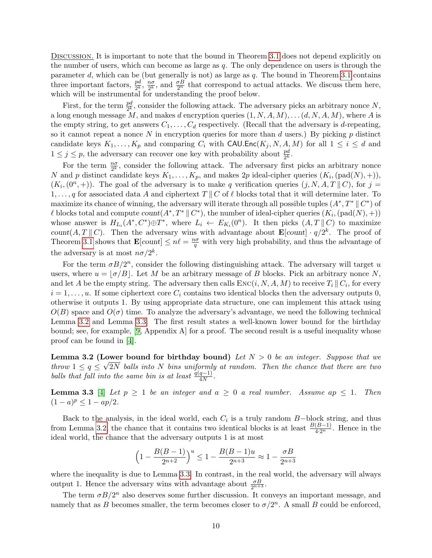<span id="page-9-2"></span>DISCUSSION. It is important to note that the bound in Theorem [3.1](#page-8-2) does not depend explicitly on the number of users, which can become as large as  $q$ . The only dependence on users is through the parameter d, which can be (but generally is not) as large as  $q$ . The bound in Theorem [3.1](#page-8-2) contains three important factors,  $\frac{pd}{2^k}$ ,  $\frac{n\sigma}{2^k}$  $\frac{n\sigma}{2^k}$ , and  $\frac{\sigma B}{2^n}$  that correspond to actual attacks. We discuss them here, which will be instrumental for understanding the proof below.

First, for the term  $\frac{pd}{2^k}$ , consider the following attack. The adversary picks an arbitrary nonce N, a long enough message M, and makes d encryption queries  $(1, N, A, M), \ldots (d, N, A, M)$ , where A is the empty string, to get answers  $C_1, \ldots, C_d$  respectively. (Recall that the adversary is d-repeating, so it cannot repeat a nonce N in encryption queries for more than  $d$  users.) By picking  $p$  distinct candidate keys  $K_1, \ldots, K_p$  and comparing  $C_i$  with CAU.Enc $(K_j, N, A, M)$  for all  $1 \leq i \leq d$  and  $1 \leq j \leq p$ , the adversary can recover one key with probability about  $\frac{pd}{2^k}$ .

For the term  $\frac{n\sigma}{2^k}$ , consider the following attack. The adversary first picks an arbitrary nonce N and p distinct candidate keys  $K_1, \ldots, K_p$ , and makes 2p ideal-cipher queries  $(K_i, (pad(N), +)),$  $(K_i,(0^n,+))$ . The goal of the adversary is to make q verification queries  $(j, N, A, T \parallel C)$ , for  $j =$ 1, ..., q for associated data A and ciphertext  $T \parallel C$  of  $\ell$  blocks total that it will determine later. To maximize its chance of winning, the adversary will iterate through all possible tuples  $(A^*, T^* \parallel C^*)$  of  $\ell$  blocks total and compute  $count(A^*, T^* \parallel C^*)$ , the number of ideal-cipher queries  $(K_i, (pad(N), +))$ whose answer is  $H_{L_i}(A^*, C^*) \oplus T^*$ , where  $L_i \leftarrow E_{K_i}(0^n)$ . It then picks  $(A, T \parallel C)$  to maximize count(A, T || C). Then the adversary wins with advantage about  $\mathbf{E}[count] \cdot q/2^k$ . The proof of Theorem [3.1](#page-8-2) shows that  $\mathbf{E}[count] \leq n\ell = \frac{n\sigma}{q}$  with very high probability, and thus the advantage of the adversary is at most  $n\sigma/2^k$ .

For the term  $\sigma B/2^n$ , consider the following distinguishing attack. The adversary will target u users, where  $u = \lfloor \sigma/B \rfloor$ . Let M be an arbitrary message of B blocks. Pick an arbitrary nonce N, and let A be the empty string. The adversary then calls  $\text{Enc}(i, N, A, M)$  to receive  $T_i \parallel C_i$ , for every  $i = 1, \ldots, u$ . If some ciphertext core  $C_i$  contains two identical blocks then the adversary outputs 0, otherwise it outputs 1. By using appropriate data structure, one can implement this attack using  $O(B)$  space and  $O(\sigma)$  time. To analyze the adversary's advantage, we need the following technical Lemma [3.2](#page-9-0) and Lemma [3.3.](#page-9-1) The first result states a well-known lower bound for the birthday bound; see, for example, [\[9,](#page-22-14) Appendix A] for a proof. The second result is a useful inequality whose proof can be found in [\[4\]](#page-21-8).

<span id="page-9-0"></span>**Lemma 3.2 (Lower bound for birthday bound)** Let  $N > 0$  be an integer. Suppose that we throw  $1 \le q \le \sqrt{2N}$  balls into N bins uniformly at random. Then the chance that there are two balls that fall into the same bin is at least  $\frac{q(q-1)}{4N}$ .

<span id="page-9-1"></span>**Lemma 3.3** [\[4\]](#page-21-8) Let  $p \ge 1$  be an integer and  $a \ge 0$  a real number. Assume ap  $\le 1$ . Then  $(1-a)^p \leq 1 - ap/2.$ 

Back to the analysis, in the ideal world, each  $C_i$  is a truly random B-block string, and thus from Lemma [3.2,](#page-9-0) the chance that it contains two identical blocks is at least  $\frac{B(B-1)}{4\cdot 2^n}$ . Hence in the ideal world, the chance that the adversary outputs 1 is at most

$$
\left(1 - \frac{B(B-1)}{2^{n+2}}\right)^u \le 1 - \frac{B(B-1)u}{2^{n+3}} \approx 1 - \frac{\sigma B}{2^{n+3}}
$$

where the inequality is due to Lemma [3.3.](#page-9-1) In contrast, in the real world, the adversary will always output 1. Hence the adversary wins with advantage about  $\frac{\sigma B}{2^{n+3}}$ .

The term  $\sigma B/2^n$  also deserves some further discussion. It conveys an important message, and namely that as B becomes smaller, the term becomes closer to  $\sigma/2^n$ . A small B could be enforced,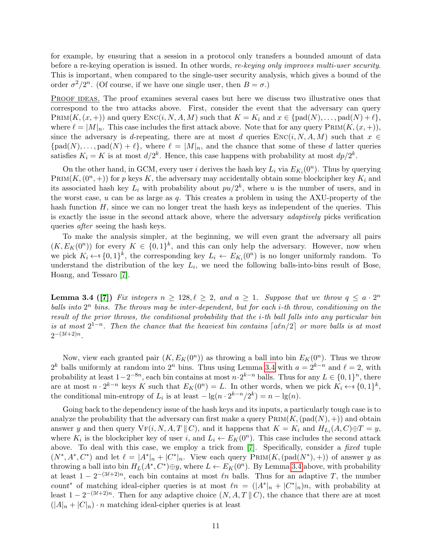<span id="page-10-1"></span>for example, by ensuring that a session in a protocol only transfers a bounded amount of data before a re-keying operation is issued. In other words, re-keying only improves multi-user security. This is important, when compared to the single-user security analysis, which gives a bound of the order  $\sigma^2/2^n$ . (Of course, if we have one single user, then  $B = \sigma$ .)

PROOF IDEAS. The proof examines several cases but here we discuss two illustrative ones that correspond to the two attacks above. First, consider the event that the adversary can query  $\text{PRIM}(K,(x, +))$  and query  $\text{Enc}(i, N, A, M)$  such that  $K = K_i$  and  $x \in \text{pad}(N), \ldots, \text{pad}(N) + \ell$ , where  $\ell = |M|_n$ . This case includes the first attack above. Note that for any query PRIM $(K,(x, +))$ , since the adversary is d-repeating, there are at most d queries  $\text{Enc}(i, N, A, M)$  such that  $x \in$  ${\rm (pad(N), \ldots, pad(N) + \ell},$  where  $\ell = |M|_n$ , and the chance that some of these d latter queries satisfies  $K_i = K$  is at most  $d/2^k$ . Hence, this case happens with probability at most  $dp/2^k$ .

On the other hand, in GCM, every user i derives the hash key  $L_i$  via  $E_{K_i}(0^n)$ . Thus by querying PRIM $(K,(0^n, +))$  for p keys K, the adversary may accidentally obtain some blockcipher key  $K_i$  and its associated hash key  $L_i$  with probability about  $pu/2^k$ , where u is the number of users, and in the worst case,  $u$  can be as large as  $q$ . This creates a problem in using the AXU-property of the hash function  $H$ , since we can no longer treat the hash keys as independent of the queries. This is exactly the issue in the second attack above, where the adversary *adaptively* picks verification queries *after* seeing the hash keys.

To make the analysis simpler, at the beginning, we will even grant the adversary all pairs  $(K, E_K(0^n))$  for every  $K \in \{0,1\}^k$ , and this can only help the adversary. However, now when we pick  $K_i \leftarrow s \{0,1\}^k$ , the corresponding key  $L_i \leftarrow E_{K_i}(0^n)$  is no longer uniformly random. To understand the distribution of the key  $L_i$ , we need the following balls-into-bins result of Bose, Hoang, and Tessaro [\[7\]](#page-21-4).

<span id="page-10-0"></span>**Lemma 3.4 ([\[7\]](#page-21-4))** Fix integers  $n \geq 128, \ell \geq 2$ , and  $a \geq 1$ . Suppose that we throw  $q \leq a \cdot 2^n$ balls into  $2^n$  bins. The throws may be inter-dependent, but for each *i*-th throw, conditioning on the result of the prior throws, the conditional probability that the i-th ball falls into any particular bin is at most  $2^{1-n}$ . Then the chance that the heaviest bin contains  $\lceil a\ln/2 \rceil$  or more balls is at most  $2^{-(3\ell+2)n}$ .

Now, view each granted pair  $(K, E_K(0^n))$  as throwing a ball into bin  $E_K(0^n)$ . Thus we throw  $2^k$  balls uniformly at random into  $2^n$  bins. Thus using Lemma [3.4](#page-10-0) with  $a = 2^{k-n}$  and  $\ell = 2$ , with probability at least  $1-2^{-8n}$ , each bin contains at most  $n \cdot 2^{k-n}$  balls. Thus for any  $L \in \{0,1\}^n$ , there are at most  $n \cdot 2^{k-n}$  keys K such that  $E_K(0^n) = L$ . In other words, when we pick  $K_i \leftarrow \{0,1\}^k$ , the conditional min-entropy of  $L_i$  is at least  $-\lg(n \cdot 2^{k-n}/2^k) = n - \lg(n)$ .

Going back to the dependency issue of the hash keys and its inputs, a particularly tough case is to analyze the probability that the adversary can first make a query  $\text{PRIM}(K,(\text{pad}(N), +))$  and obtain answer y and then query  $\text{VF}(i, N, A, T \parallel C)$ , and it happens that  $K = K_i$  and  $H_{L_i}(A, C) \oplus T = y$ , where  $K_i$  is the blockcipher key of user i, and  $L_i \leftarrow E_K(0^n)$ . This case includes the second attack above. To deal with this case, we employ a trick from [\[7\]](#page-21-4). Specifically, consider a *fixed* tuple  $(N^*, A^*, C^*)$  and let  $\ell = |A^*|_n + |C^*|_n$ . View each query  $\text{PRIM}(K, (\text{pad}(N^*), +))$  of answer y as throwing a ball into bin  $H_L(A^*, C^*) \oplus y$ , where  $L \leftarrow E_K(0^n)$ . By Lemma [3.4](#page-10-0) above, with probability at least  $1 - 2^{-(3\ell+2)n}$ , each bin contains at most  $\ell n$  balls. Thus for an adaptive T, the number count<sup>\*</sup> of matching ideal-cipher queries is at most  $ln = (|A^*|_n + |C^*|_n)n$ , with probability at least  $1 - 2^{-(3\ell+2)n}$ . Then for any adaptive choice  $(N, A, T \nparallel C)$ , the chance that there are at most  $(|A|_n + |C|_n) \cdot n$  matching ideal-cipher queries is at least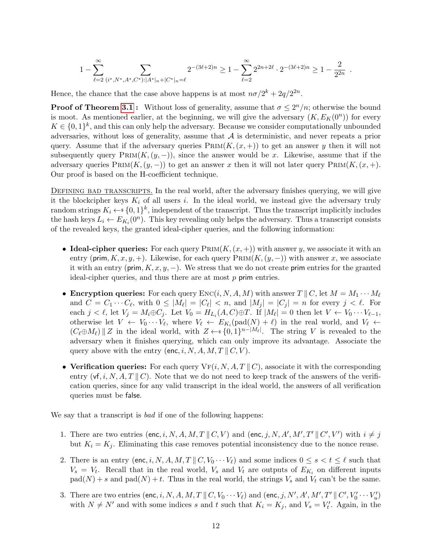$$
1-\sum_{\ell=2}^\infty\sum_{(i^*,N^*,A^*,C^*):|A^*|_n+|C^*|_n=\ell}2^{-(3\ell+2)n}\geq 1-\sum_{\ell=2}^\infty 2^{2n+2\ell}\cdot 2^{-(3\ell+2)n}\geq 1-\frac{2}{2^{2n}}
$$

.

Hence, the chance that the case above happens is at most  $n\sigma/2^k + 2q/2^{2n}$ .

**Proof of Theorem [3.1](#page-8-2):** Without loss of generality, assume that  $\sigma \leq 2^n/n$ ; otherwise the bound is moot. As mentioned earlier, at the beginning, we will give the adversary  $(K, E_K(0^n))$  for every  $K \in \{0,1\}^k$ , and this can only help the adversary. Because we consider computationally unbounded adversaries, without loss of generality, assume that  $A$  is deterministic, and never repeats a prior query. Assume that if the adversary queries  $\text{PRIM}(K,(x, +))$  to get an answer y then it will not subsequently query  $P_{\text{RIM}}(K,(y,-))$ , since the answer would be x. Likewise, assume that if the adversary queries  $\text{PRIM}(K,(y,-))$  to get an answer x then it will not later query  $\text{PRIM}(K,(x,+))$ . Our proof is based on the H-coefficient technique.

DEFINING BAD TRANSCRIPTS. In the real world, after the adversary finishes querying, we will give it the blockcipher keys  $K_i$  of all users i. In the ideal world, we instead give the adversary truly random strings  $K_i \leftarrow \{0,1\}^k$ , independent of the transcript. Thus the transcript implicitly includes the hash keys  $L_i \leftarrow E_{K_i}(0^n)$ . This key revealing only helps the adversary. Thus a transcript consists of the revealed keys, the granted ideal-cipher queries, and the following information:

- Ideal-cipher queries: For each query  $P_{\text{RIM}}(K,(x, +))$  with answer y, we associate it with an entry (prim,  $K, x, y, +$ ). Likewise, for each query  $\text{PRIM}(K,(y, -))$  with answer x, we associate it with an entry (prim,  $K, x, y, -$ ). We stress that we do not create prim entries for the granted ideal-cipher queries, and thus there are at most p prim entries.
- Encryption queries: For each query  $\text{Enc}(i, N, A, M)$  with answer  $T \parallel C$ , let  $M = M_1 \cdots M_\ell$ and  $C = C_1 \cdots C_\ell$ , with  $0 \leq |M_\ell| = |C_\ell| < n$ , and  $|M_j| = |C_j| = n$  for every  $j < \ell$ . For each  $j < \ell$ , let  $V_j = M_i \oplus C_j$ . Let  $V_0 = H_{L_i}(A, C) \oplus T$ . If  $|M_\ell| = 0$  then let  $V \leftarrow V_0 \cdots V_{\ell-1}$ , otherwise let  $V \leftarrow V_0 \cdots V_{\ell}$ , where  $V_{\ell} \leftarrow E_{K_i}(\text{pad}(N) + \ell)$  in the real world, and  $V_{\ell} \leftarrow$  $(C_{\ell} \oplus M_{\ell}) \parallel Z$  in the ideal world, with  $Z \leftarrow \{0,1\}^{n-|M_{\ell}|}$ . The string V is revealed to the adversary when it finishes querying, which can only improve its advantage. Associate the query above with the entry (enc, i, N, A, M, T  $\parallel C$ , V).
- Verification queries: For each query  $\nabla F(i, N, A, T \parallel C)$ , associate it with the corresponding entry  $(\mathsf{v} \mathsf{f}, i, N, A, T \parallel C)$ . Note that we do not need to keep track of the answers of the verification queries, since for any valid transcript in the ideal world, the answers of all verification queries must be false.

We say that a transcript is *bad* if one of the following happens:

- 1. There are two entries (enc, i, N, A, M, T || C, V) and (enc, j, N, A', M', T' || C', V') with  $i \neq j$ but  $K_i = K_j$ . Eliminating this case removes potential inconsistency due to the nonce reuse.
- 2. There is an entry (enc, i, N, A, M, T ||  $C, V_0 \cdots V_\ell$ ) and some indices  $0 \leq s < t \leq \ell$  such that  $V_s = V_t$ . Recall that in the real world,  $V_s$  and  $V_t$  are outputs of  $E_{K_i}$  on different inputs  $pad(N) + s$  and  $pad(N) + t$ . Thus in the real world, the strings  $V_s$  and  $V_t$  can't be the same.
- 3. There are two entries  $(\mathsf{enc}, i, N, A, M, T \parallel C, V_0 \cdots V_\ell)$  and  $(\mathsf{enc}, j, N', A', M', T' \parallel C', V'_0 \cdots V'_u)$ with  $N \neq N'$  and with some indices s and t such that  $K_i = K_j$ , and  $V_s = V'_t$ . Again, in the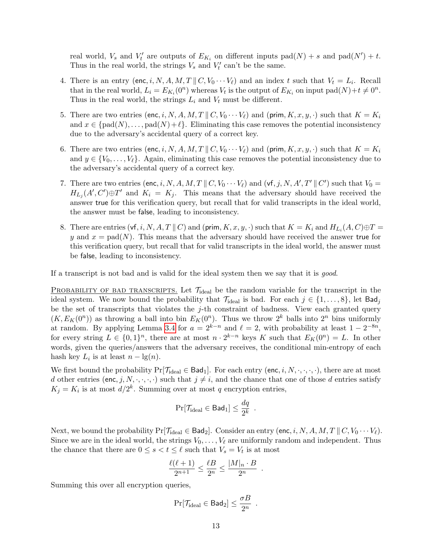real world,  $V_s$  and  $V'_t$  are outputs of  $E_{K_i}$  on different inputs  $pad(N) + s$  and  $pad(N') + t$ . Thus in the real world, the strings  $V_s$  and  $V'_t$  can't be the same.

- 4. There is an entry (enc, i, N, A, M, T ||  $C, V_0 \cdots V_\ell$ ) and an index t such that  $V_t = L_i$ . Recall that in the real world,  $L_i = E_{K_i}(0^n)$  whereas  $V_t$  is the output of  $E_{K_i}$  on input  $pad(N)+t \neq 0^n$ . Thus in the real world, the strings  $L_i$  and  $V_t$  must be different.
- 5. There are two entries (enc, i, N, A, M, T || C,  $V_0 \cdots V_\ell$ ) and (prim,  $K, x, y, \cdot$ ) such that  $K = K_i$ and  $x \in \text{fpad}(N), \ldots$ , pad $(N)+\ell$ . Eliminating this case removes the potential inconsistency due to the adversary's accidental query of a correct key.
- 6. There are two entries (enc, i, N, A, M, T ||  $C, V_0 \cdots V_\ell$ ) and (prim,  $K, x, y, \cdot$ ) such that  $K = K_i$ and  $y \in \{V_0, \ldots, V_\ell\}$ . Again, eliminating this case removes the potential inconsistency due to the adversary's accidental query of a correct key.
- 7. There are two entries (enc, i, N, A, M, T || C,  $V_0 \cdots V_\ell$ ) and (vf, j, N, A', T' || C') such that  $V_0 =$  $H_{L_j}(A',C')\oplus T'$  and  $K_i = K_j$ . This means that the adversary should have received the answer true for this verification query, but recall that for valid transcripts in the ideal world, the answer must be false, leading to inconsistency.
- 8. There are entries  $(\mathsf{vf}, i, N, A, T \parallel C)$  and  $(\mathsf{prim}, K, x, y, \cdot)$  such that  $K = K_i$  and  $H_{L_i}(A, C) \oplus T =$ y and  $x = \text{pad}(N)$ . This means that the adversary should have received the answer true for this verification query, but recall that for valid transcripts in the ideal world, the answer must be false, leading to inconsistency.

If a transcript is not bad and is valid for the ideal system then we say that it is good.

PROBABILITY OF BAD TRANSCRIPTS. Let  $\mathcal{T}_{ideal}$  be the random variable for the transcript in the ideal system. We now bound the probability that  $\mathcal{T}_{ideal}$  is bad. For each  $j \in \{1, \ldots, 8\}$ , let  $\mathsf{Bad}_j$ be the set of transcripts that violates the  $j$ -th constraint of badness. View each granted query  $(K, E_K(0^n))$  as throwing a ball into bin  $E_K(0^n)$ . Thus we throw  $2^k$  balls into  $2^n$  bins uniformly at random. By applying Lemma [3.4](#page-10-0) for  $a = 2^{k-n}$  and  $\ell = 2$ , with probability at least  $1 - 2^{-8n}$ , for every string  $L \in \{0,1\}^n$ , there are at most  $n \cdot 2^{k-n}$  keys K such that  $E_K(0^n) = L$ . In other words, given the queries/answers that the adversary receives, the conditional min-entropy of each hash key  $L_i$  is at least  $n - \lg(n)$ .

We first bound the probability  $Pr[\mathcal{T}_{ideal} \in \text{Bad}_1]$ . For each entry (enc, i, N, ., ., .), there are at most d other entries (enc, j, N,  $\cdot$ ,  $\cdot$ ,  $\cdot$ ) such that  $j \neq i$ , and the chance that one of those d entries satisfy  $K_j = K_i$  is at most  $d/2^k$ . Summing over at most q encryption entries,

$$
\Pr[\mathcal{T}_{\text{ideal}} \in \text{Bad}_1] \leq \frac{dq}{2^k} \enspace .
$$

Next, we bound the probability  $Pr[\mathcal{T}_{ideal} \in \text{Bad}_2]$ . Consider an entry (enc, i, N, A, M, T || C,  $V_0 \cdots V_\ell$ ). Since we are in the ideal world, the strings  $V_0, \ldots, V_\ell$  are uniformly random and independent. Thus the chance that there are  $0 \leq s < t \leq \ell$  such that  $V_s = V_t$  is at most

$$
\frac{\ell(\ell+1)}{2^{n+1}} \le \frac{\ell B}{2^n} \le \frac{|M|_n \cdot B}{2^n}
$$

.

.

Summing this over all encryption queries,

$$
\Pr[\mathcal{T}_{\footnotesize{\text{ideal}}} \in \mathsf{Bad}_{2}] \leq \frac{\sigma B}{2^{n}}
$$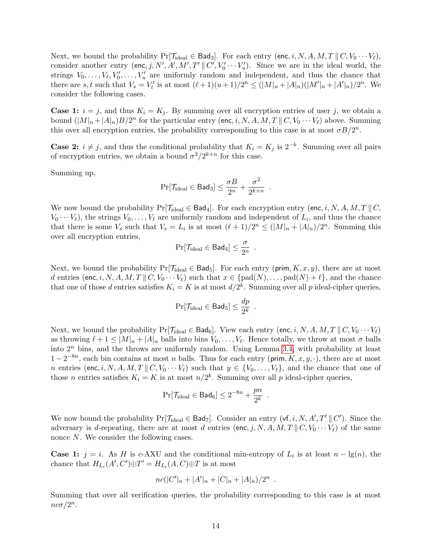Next, we bound the probability  $Pr[\mathcal{T}_{ideal} \in \text{Bad}_3]$ . For each entry (enc, i, N, A, M, T || C,  $V_0 \cdots V_\ell$ ), consider another entry (enc, j, N', A', M', T'  $\parallel C', V_0' \cdots V_u'$ ). Since we are in the ideal world, the strings  $V_0, \ldots, V_\ell, V'_0, \ldots, V'_u$  are uniformly random and independent, and thus the chance that there are s, t such that  $V_s = V'_t$  is at most  $(\ell + 1)(u + 1)/2^n \leq (|M|_n + |A|_n)(|M'|_n + |A'|_n)/2^n$ . We consider the following cases.

**Case 1:**  $i = j$ , and thus  $K_i = K_j$ . By summing over all encryption entries of user j, we obtain a bound  $(|M|_n + |A|_n)B/2^n$  for the particular entry (enc, i, N, A, M, T  $|| C, V_0 \cdots V_\ell$ ) above. Summing this over all encryption entries, the probability corresponding to this case is at most  $\sigma B/2^n$ .

**Case 2:**  $i \neq j$ , and thus the conditional probability that  $K_i = K_j$  is  $2^{-k}$ . Summing over all pairs of encryption entries, we obtain a bound  $\sigma^2/2^{k+n}$  for this case.

Summing up,

$$
\Pr[\mathcal{T}_{\text{ideal}} \in \text{Bad}_3] \leq \frac{\sigma B}{2^n} + \frac{\sigma^2}{2^{k+n}} \enspace .
$$

We now bound the probability  $Pr[\mathcal{T}_{ideal} \in \text{Bad}_4]$ . For each encryption entry (enc, i, N, A, M, T || C,  $V_0 \cdots V_\ell$ , the strings  $V_0, \ldots, V_\ell$  are uniformly random and independent of  $L_i$ , and thus the chance that there is some  $V_s$  such that  $V_s = L_i$  is at most  $(\ell + 1)/2^n \leq (|M|_n + |A|_n)/2^n$ . Summing this over all encryption entries,

$$
\Pr[\mathcal{T}_{\text{ideal}} \in \text{Bad}_4] \leq \frac{\sigma}{2^n} \enspace .
$$

Next, we bound the probability  $Pr[\mathcal{T}_{ideal} \in \mathsf{Bad}_5]$ . For each entry (prim,  $K, x, y$ ), there are at most d entries (enc, i, N, A, M, T || C, V<sub>0</sub>  $\cdots$  V<sub>l</sub>) such that  $x \in \{pad(N), \ldots, pad(N) + \ell\}$ , and the chance that one of those d entries satisfies  $K_i = K$  is at most  $d/2^k$ . Summing over all p ideal-cipher queries,

$$
\Pr[\mathcal{T}_{\text{ideal}} \in \text{Bad}_5] \leq \frac{dp}{2^k} .
$$

Next, we bound the probability  $\Pr[\mathcal{T}_{ideal} \in \text{Bad}_6]$ . View each entry (enc, i, N, A, M, T || C,  $V_0 \cdots V_\ell$ ) as throwing  $\ell + 1 \leq |M|_n + |A|_n$  balls into bins  $V_0, \ldots, V_\ell$ . Hence totally, we throw at most  $\sigma$  balls into  $2<sup>n</sup>$  bins, and the throws are uniformly random. Using Lemma [3.4,](#page-10-0) with probability at least  $1-2^{-8n}$ , each bin contains at most *n* balls. Thus for each entry (prim,  $K, x, y, \cdot$ ), there are at most n entries (enc, i, N, A, M, T || C, V<sub>0</sub>  $\cdots$  V<sub>l</sub>) such that  $y \in \{V_0, \ldots, V_\ell\}$ , and the chance that one of those *n* entries satisfies  $K_i = K$  is at most  $n/2^k$ . Summing over all *p* ideal-cipher queries,

$$
\Pr[\mathcal{T}_{\text{ideal}} \in \text{Bad}_6] \leq 2^{-8n} + \frac{pn}{2^k} \enspace .
$$

We now bound the probability  $Pr[\mathcal{T}_{ideal} \in \text{Bad}_{7}]$ . Consider an entry  $(\mathsf{vf}, i, N, A', T' \parallel C')$ . Since the adversary is d-repeating, there are at most d entries (enc, j, N, A, M, T ||  $C, V_0 \cdots V_\ell$ ) of the same nonce N. We consider the following cases.

**Case 1:**  $j = i$ . As H is c-AXU and the conditional min-entropy of  $L_i$  is at least  $n - \lg(n)$ , the chance that  $H_{L_i}(A', C') \oplus T' = H_{L_i}(A, C) \oplus T$  is at most

$$
nc(|C'|_n+|A'|_n+|C|_n+|A|_n)/2^n.
$$

Summing that over all verification queries, the probability corresponding to this case is at most  $nc\sigma/2^n$ .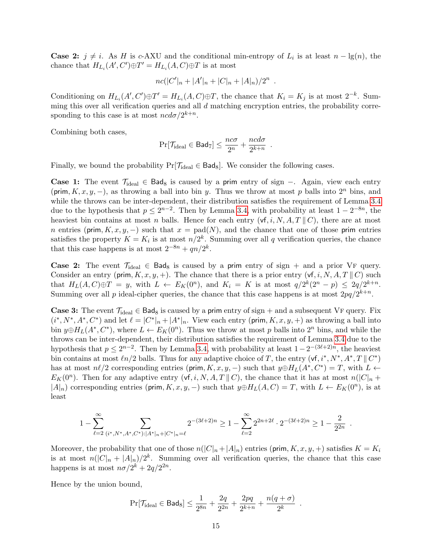**Case 2:**  $j \neq i$ . As H is c-AXU and the conditional min-entropy of  $L_i$  is at least  $n - \lg(n)$ , the chance that  $H_{L_i}(A', C') \oplus T' = H_{L_i}(A, C) \oplus T$  is at most

$$
nc(|C'|_n+|A'|_n+|C|_n+|A|_n)/2^n.
$$

Conditioning on  $H_{L_i}(A', C') \oplus T' = H_{L_i}(A, C) \oplus T$ , the chance that  $K_i = K_j$  is at most  $2^{-k}$ . Summing this over all verification queries and all d matching encryption entries, the probability corresponding to this case is at most  $ncd\sigma/2^{k+n}$ .

Combining both cases,

$$
\Pr[\mathcal{T}_{\text{ideal}} \in \text{Bad}_{7}] \leq \frac{nc\sigma}{2^{n}} + \frac{ncd\sigma}{2^{k+n}}.
$$

Finally, we bound the probability  $Pr[\mathcal{T}_{ideal} \in \text{Bad}_8]$ . We consider the following cases.

Case 1: The event  $\mathcal{T}_{ideal}$  ∈ Bad<sub>8</sub> is caused by a prim entry of sign –. Again, view each entry (prim,  $K, x, y, -$ ), as throwing a ball into bin y. Thus we throw at most p balls into  $2^n$  bins, and while the throws can be inter-dependent, their distribution satisfies the requirement of Lemma [3.4](#page-10-0) due to the hypothesis that  $p \leq 2^{n-2}$ . Then by Lemma [3.4,](#page-10-0) with probability at least  $1 - 2^{-8n}$ , the heaviest bin contains at most n balls. Hence for each entry  $(v, i, N, A, T \parallel C)$ , there are at most n entries (prim,  $K, x, y, -$ ) such that  $x = \text{pad}(N)$ , and the chance that one of those prim entries satisfies the property  $K = K_i$  is at most  $n/2^k$ . Summing over all q verification queries, the chance that this case happens is at most  $2^{-8n} + qn/2^k$ .

Case 2: The event  $\mathcal{T}_{\text{ideal}} \in \text{Bad}_8$  is caused by a prim entry of sign + and a prior VF query. Consider an entry (prim,  $K, x, y, +$ ). The chance that there is a prior entry (vf, i, N, A, T || C) such that  $H_L(A, C) \oplus T = y$ , with  $L \leftarrow E_K(0^n)$ , and  $K_i = K$  is at most  $q/2^k(2^n - p) \leq 2q/2^{k+n}$ . Summing over all p ideal-cipher queries, the chance that this case happens is at most  $2pq/2^{k+n}$ .

**Case 3:** The event  $\mathcal{T}_{\text{ideal}} \in \text{Bad}_8$  is caused by a prim entry of sign + and a subsequent VF query. Fix  $(i^*, N^*, A^*, C^*)$  and let  $\ell = |C^*|_n + |A^*|_n$ . View each entry (prim, K, x, y, +) as throwing a ball into bin  $y \oplus H_L(A^*, C^*)$ , where  $L \leftarrow E_K(0^n)$ . Thus we throw at most p balls into  $2^n$  bins, and while the throws can be inter-dependent, their distribution satisfies the requirement of Lemma [3.4](#page-10-0) due to the hypothesis that  $p \leq 2^{n-2}$ . Then by Lemma [3.4,](#page-10-0) with probability at least  $1 - 2^{-(3\ell+2)n}$ , the heaviest bin contains at most  $ln/2$  balls. Thus for any adaptive choice of T, the entry  $(vf, i^*, N^*, A^*, T \parallel C^*)$ has at most  $n\ell/2$  corresponding entries (prim, K, x, y, -) such that  $y \oplus H_L(A^*, C^*) = T$ , with  $L \leftarrow$  $E_K(0^n)$ . Then for any adaptive entry  $(\mathsf{vf}, i, N, A, T \parallel C)$ , the chance that it has at most  $n(|C|_n +$  $|A|_n$ ) corresponding entries (prim, K, x, y, -) such that  $y \oplus H_L(A, C) = T$ , with  $L \leftarrow E_K(0^n)$ , is at least

$$
1-\sum_{\ell=2}^\infty\sum_{(i^*,N^*,A^*,C^*):|A^*|_n+|C^*|_n=\ell}2^{-(3\ell+2)n}\geq 1-\sum_{\ell=2}^\infty 2^{2n+2\ell}\cdot 2^{-(3\ell+2)n}\geq 1-\frac{2}{2^{2n}}
$$

.

.

Moreover, the probability that one of those  $n(|C|_n + |A|_n)$  entries (prim,  $K, x, y, +$ ) satisfies  $K = K_i$ is at most  $n(|C|_n + |A|_n)/2^k$ . Summing over all verification queries, the chance that this case happens is at most  $n\sigma/2^k + 2q/2^{2n}$ .

Hence by the union bound,

$$
\Pr[\mathcal{T}_{\footnotesize{\text{ideal}}} \in \mathsf{Bad}_{8}] \leq \frac{1}{2^{8n}} + \frac{2q}{2^{2n}} + \frac{2pq}{2^{k+n}} + \frac{n(q+\sigma)}{2^{k}}
$$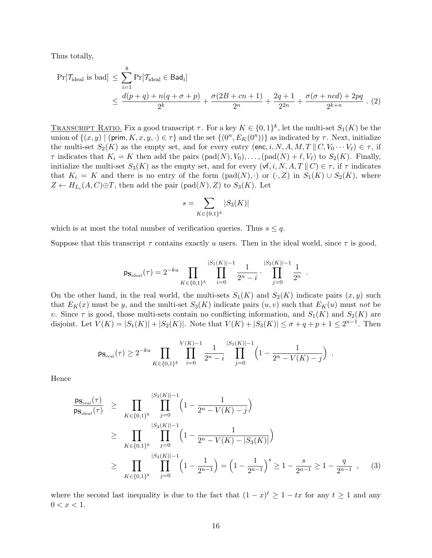Thus totally,

<span id="page-15-0"></span>
$$
\Pr[\mathcal{T}_{\text{ideal}} \text{ is bad}] \le \sum_{i=1}^{8} \Pr[\mathcal{T}_{\text{ideal}} \in \text{Bad}_{i}]
$$
  
 
$$
\le \frac{d(p+q) + n(q+\sigma+p)}{2^{k}} + \frac{\sigma(2B+cn+1)}{2^{n}} + \frac{2q+1}{2^{2n}} + \frac{\sigma(\sigma + ncd) + 2pq}{2^{k+n}}. (2)
$$

TRANSCRIPT RATIO. Fix a good transcript  $\tau$ . For a key  $K \in \{0,1\}^k$ , let the multi-set  $S_1(K)$  be the union of  $\{(x, y) \mid (\text{prim}, K, x, y, \cdot) \in \tau\}$  and the set  $\{(0^n, E_K(0^n))\}$  as indicated by  $\tau$ . Next, initialize the multi-set  $S_2(K)$  as the empty set, and for every entry (enc, i, N, A, M, T || C,  $V_0 \cdots V_\ell$ )  $\in \tau$ , if  $\tau$  indicates that  $K_i = K$  then add the pairs  $(\text{pad}(N), V_0), \ldots, (\text{pad}(N) + \ell, V_\ell)$  to  $S_2(K)$ . Finally, initialize the multi-set  $S_3(K)$  as the empty set, and for every  $(\mathsf{vf}, i, N, A, T \mid\mid C) \in \tau$ , if  $\tau$  indicates that  $K_i = K$  and there is no entry of the form  $(\text{pad}(N), \cdot)$  or  $(\cdot, Z)$  in  $S_1(K) \cup S_2(K)$ , where  $Z \leftarrow H_{L_i}(A, C) \oplus T$ , then add the pair  $(\text{pad}(N), Z)$  to  $S_3(K)$ . Let

$$
s = \sum_{K \in \{0,1\}^k} |S_3(K)|
$$

which is at most the total number of verification queries. Thus  $s \leq q$ .

Suppose that this transcript  $\tau$  contains exactly u users. Then in the ideal world, since  $\tau$  is good,

$$
\mathsf{ps}_{\text{ideal}}(\tau) = 2^{-ku} \prod_{K \in \{0,1\}^k} \prod_{i=0}^{|S_1(K)|-1} \frac{1}{2^n - i} \cdot \prod_{j=0}^{|S_2(K)|-1} \frac{1}{2^n} .
$$

On the other hand, in the real world, the multi-sets  $S_1(K)$  and  $S_2(K)$  indicate pairs  $(x, y)$  such that  $E_K(x)$  must be y, and the multi-set  $S_3(K)$  indicate pairs  $(u, v)$  such that  $E_K(u)$  must not be v. Since  $\tau$  is good, those multi-sets contain no conflicting information, and  $S_1(K)$  and  $S_2(K)$  are disjoint. Let  $V(K) = |S_1(K)| + |S_2(K)|$ . Note that  $V(K) + |S_3(K)| \le \sigma + q + p + 1 \le 2^{n-1}$ . Then

$$
\mathsf{ps}_{\mathrm{real}}(\tau) \ge 2^{-ku} \prod_{K \in \{0,1\}^k} \prod_{i=0}^{V(K)-1} \frac{1}{2^n - i} \prod_{j=0}^{|S_3(K)| - 1} \left(1 - \frac{1}{2^n - V(K) - j}\right) .
$$

Hence

<span id="page-15-1"></span>
$$
\frac{\mathsf{ps}_{\text{real}}(\tau)}{\mathsf{ps}_{\text{ideal}}(\tau)} \geq \prod_{K \in \{0,1\}^k} \prod_{j=0}^{|S_3(K)|-1} \left(1 - \frac{1}{2^n - V(K) - j}\right)
$$
\n
$$
\geq \prod_{K \in \{0,1\}^k} \prod_{j=0}^{|S_3(K)|-1} \left(1 - \frac{1}{2^n - V(K) - |S_3(K)|}\right)
$$
\n
$$
\geq \prod_{K \in \{0,1\}^k} \prod_{j=0}^{|S_3(K)|-1} \left(1 - \frac{1}{2^{n-1}}\right) = \left(1 - \frac{1}{2^{n-1}}\right)^s \geq 1 - \frac{s}{2^{n-1}} \geq 1 - \frac{q}{2^{n-1}}, \quad (3)
$$

where the second last inequality is due to the fact that  $(1-x)^t \geq 1 - tx$  for any  $t \geq 1$  and any  $0 < x < 1$ .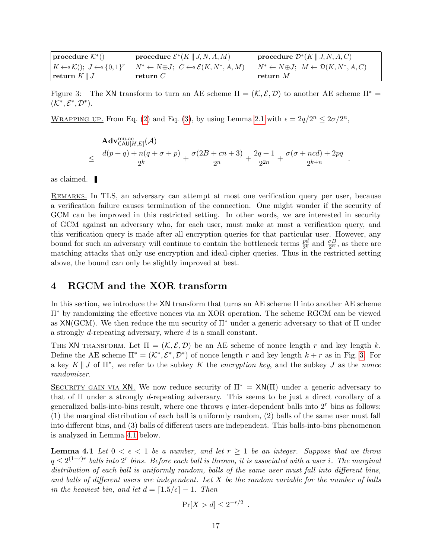| $procedure \mathcal{K}^*($                               | procedure $\mathcal{E}^*(K \mid J, N, A, M)$                                  | procedure $\mathcal{D}^*(K \mid J, N, A, C)$                              |
|----------------------------------------------------------|-------------------------------------------------------------------------------|---------------------------------------------------------------------------|
| $K \leftarrow \mathcal{K}$ $(t); J \leftarrow \{0,1\}^r$ | $\vert N^* \leftarrow N \oplus J; \ \ C \leftarrow \mathcal{E}(K, N^*, A, M)$ | $\vert N^* \leftarrow N \oplus J; M \leftarrow \mathcal{D}(K, N^*, A, C)$ |
| return $K \parallel J$                                   | $r$ return $C$                                                                | $\lceil \textbf{return } M \rceil$                                        |

<span id="page-16-1"></span>Figure 3: The XN transform to turn an AE scheme  $\Pi = (\mathcal{K}, \mathcal{E}, \mathcal{D})$  to another AE scheme  $\Pi^* =$  $(\mathcal{K}^*, \mathcal{E}^*, \mathcal{D}^*).$ 

WRAPPING UP. From Eq. [\(2\)](#page-15-0) and Eq. [\(3\)](#page-15-1), by using Lemma [2.1](#page-7-3) with  $\epsilon = 2q/2^n \leq 2\sigma/2^n$ ,

$$
\begin{array}{lcl}\mathbf{Adv}_{\mathsf{CAU}[H,E]}^{\mathrm{mu-ae}}(\mathcal{A})\\ \leq & \dfrac{d(p+q)+n(q+\sigma+p)}{2^{k}}+\dfrac{\sigma(2B+cn+3)}{2^{n}}+\dfrac{2q+1}{2^{2n}}+\dfrac{\sigma(\sigma+ncd)+2pq}{2^{k+n}}\\ \end{array}
$$

.

as claimed.

REMARKS. In TLS, an adversary can attempt at most one verification query per user, because a verification failure causes termination of the connection. One might wonder if the security of GCM can be improved in this restricted setting. In other words, we are interested in security of GCM against an adversary who, for each user, must make at most a verification query, and this verification query is made after all encryption queries for that particular user. However, any bound for such an adversary will continue to contain the bottleneck terms  $\frac{pd}{2^k}$  and  $\frac{\sigma B}{2^n}$ , as there are matching attacks that only use encryption and ideal-cipher queries. Thus in the restricted setting above, the bound can only be slightly improved at best.

# <span id="page-16-0"></span>4 RGCM and the XOR transform

In this section, we introduce the XN transform that turns an AE scheme Π into another AE scheme Π<sup>∗</sup> by randomizing the effective nonces via an XOR operation. The scheme RGCM can be viewed as  $XN(GCM)$ . We then reduce the mu security of  $\Pi^*$  under a generic adversary to that of  $\Pi$  under a strongly d-repeating adversary, where d is a small constant.

THE XN TRANSFORM. Let  $\Pi = (K, \mathcal{E}, \mathcal{D})$  be an AE scheme of nonce length r and key length k. Define the AE scheme  $\Pi^* = (\mathcal{K}^*, \mathcal{E}^*, \mathcal{D}^*)$  of nonce length r and key length  $k + r$  as in Fig. [3.](#page-16-1) For a key  $K \parallel J$  of  $\Pi^*$ , we refer to the subkey K the *encryption key*, and the subkey J as the *nonce* randomizer.

SECURITY GAIN VIA XN. We now reduce security of  $\Pi^* = XN(\Pi)$  under a generic adversary to that of Π under a strongly d-repeating adversary. This seems to be just a direct corollary of a generalized balls-into-bins result, where one throws q inter-dependent balls into  $2<sup>r</sup>$  bins as follows: (1) the marginal distribution of each ball is uniformly random, (2) balls of the same user must fall into different bins, and (3) balls of different users are independent. This balls-into-bins phenomenon is analyzed in Lemma [4.1](#page-16-2) below.

<span id="page-16-2"></span>**Lemma 4.1** Let  $0 < \epsilon < 1$  be a number, and let  $r \ge 1$  be an integer. Suppose that we throw  $q \leq 2^{(1-\epsilon)r}$  balls into  $2^r$  bins. Before each ball is thrown, it is associated with a user i. The marginal distribution of each ball is uniformly random, balls of the same user must fall into different bins, and balls of different users are independent. Let  $X$  be the random variable for the number of balls in the heaviest bin, and let  $d = \lfloor 1.5/\epsilon \rfloor - 1$ . Then

$$
\Pr[X > d] \le 2^{-r/2} \enspace .
$$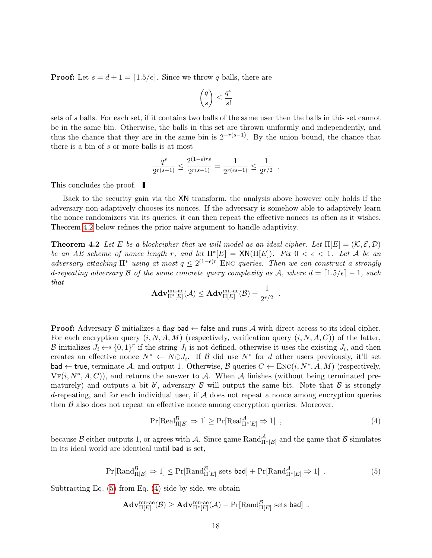**Proof:** Let  $s = d + 1 = \lfloor 1.5/\epsilon \rfloor$ . Since we throw q balls, there are

$$
\binom{q}{s} \leq \frac{q^s}{s!}
$$

sets of s balls. For each set, if it contains two balls of the same user then the balls in this set cannot be in the same bin. Otherwise, the balls in this set are thrown uniformly and independently, and thus the chance that they are in the same bin is  $2^{-r(s-1)}$ . By the union bound, the chance that there is a bin of s or more balls is at most

$$
\frac{q^s}{2^{r(s-1)}} \le \frac{2^{(1-\epsilon)rs}}{2^{r(s-1)}} = \frac{1}{2^{r(\epsilon s-1)}} \le \frac{1}{2^{r/2}}.
$$

This concludes the proof.

Back to the security gain via the XN transform, the analysis above however only holds if the adversary non-adaptively chooses its nonces. If the adversary is somehow able to adaptively learn the nonce randomizers via its queries, it can then repeat the effective nonces as often as it wishes. Theorem [4.2](#page-17-0) below refines the prior naive argument to handle adaptivity.

<span id="page-17-0"></span>**Theorem 4.2** Let E be a blockcipher that we will model as an ideal cipher. Let  $\Pi[E] = (\mathcal{K}, \mathcal{E}, \mathcal{D})$ be an AE scheme of nonce length r, and let  $\Pi^*[E] = \text{XN}(\Pi[E])$ . Fix  $0 < \epsilon < 1$ . Let A be an adversary attacking  $\Pi^*$  using at most  $q \leq 2^{(1-\epsilon)r}$  ENC queries. Then we can construct a strongly d-repeating adversary B of the same concrete query complexity as A, where  $d = \lfloor 1.5/\epsilon \rfloor - 1$ , such that

$$
\mathbf{Adv}_{\Pi^*[E]}^{\operatorname{mu-ae}}(\mathcal{A}) \leq \mathbf{Adv}_{\Pi[E]}^{\operatorname{mu-ae}}(\mathcal{B}) + \frac{1}{2^{r/2}}\enspace.
$$

**Proof:** Adversary  $\beta$  initializes a flag bad  $\leftarrow$  false and runs  $\mathcal A$  with direct access to its ideal cipher. For each encryption query  $(i, N, A, M)$  (respectively, verification query  $(i, N, A, C)$ ) of the latter, B initializes  $J_i \leftarrow s \{0,1\}^r$  if the string  $J_i$  is not defined, otherwise it uses the existing  $J_i$ , and then creates an effective nonce  $N^* \leftarrow N \oplus J_i$ . If B did use  $N^*$  for d other users previously, it'll set bad  $\leftarrow$  true, terminate A, and output 1. Otherwise, B queries  $C \leftarrow \text{Enc}(i, N^*, A, M)$  (respectively,  $VF(i, N^*, A, C)$ , and returns the answer to A. When A finishes (without being terminated prematurely) and outputs a bit b', adversary  $\beta$  will output the same bit. Note that  $\beta$  is strongly d-repeating, and for each individual user, if  $A$  does not repeat a nonce among encryption queries then  $\beta$  also does not repeat an effective nonce among encryption queries. Moreover,

<span id="page-17-2"></span>
$$
\Pr[\text{Real}_{\Pi[E]}^{\mathcal{B}} \Rightarrow 1] \ge \Pr[\text{Real}_{\Pi^*[E]}^{\mathcal{A}} \Rightarrow 1], \qquad (4)
$$

<span id="page-17-1"></span>because  $\mathcal B$  either outputs 1, or agrees with  $\mathcal A$ . Since game Rand $_{\Pi^*[E]}^{\mathcal A}$  and the game that  $\mathcal B$  simulates in its ideal world are identical until bad is set,

$$
\Pr[\text{Rand}^{\mathcal{B}}_{\Pi[E]} \Rightarrow 1] \le \Pr[\text{Rand}^{\mathcal{B}}_{\Pi[E]} \text{ sets } \text{bad}] + \Pr[\text{Rand}^{\mathcal{A}}_{\Pi^*[E]} \Rightarrow 1] . \tag{5}
$$

Subtracting Eq.  $(5)$  from Eq.  $(4)$  side by side, we obtain

$$
\mathbf{Adv}_{\Pi[E]}^{\text{mu-ae}}(\mathcal{B}) \geq \mathbf{Adv}_{\Pi^*[E]}^{\text{mu-ae}}(\mathcal{A}) - \Pr[\text{Rand}_{\Pi[E]}^{\mathcal{B}} \text{ sets bad}] \enspace .
$$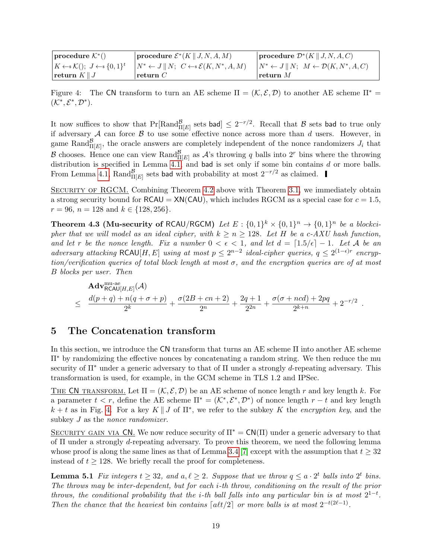<span id="page-18-4"></span>

| $ $ procedure $\mathcal{K}^*()$                                             | procedure $\mathcal{E}^*(K \mid J, N, A, M)$                                     | procedure $\mathcal{D}^*(K \mid J, N, A, C)$                                   |
|-----------------------------------------------------------------------------|----------------------------------------------------------------------------------|--------------------------------------------------------------------------------|
| $\vert K \leftarrow \mathcal{K}(\cdot); J \leftarrow \mathcal{S} \{0,1\}^t$ | $\vert N^* \leftarrow J \vert \vert N; \ C \leftarrow \mathcal{E}(K, N^*, A, M)$ | $\vert N^* \leftarrow J \vert \vert N; M \leftarrow \mathcal{D}(K, N^*, A, C)$ |
| return $K \parallel J$                                                      | Treturn $C$                                                                      | return $M$                                                                     |

<span id="page-18-1"></span>Figure 4: The CN transform to turn an AE scheme  $\Pi = (\mathcal{K}, \mathcal{E}, \mathcal{D})$  to another AE scheme  $\Pi^* =$  $(\mathcal{K}^*, \mathcal{E}^*, \mathcal{D}^*).$ 

It now suffices to show that  $Pr[Rand_{\Pi[E]}^{\mathcal{B}} \text{ sets bad}] \leq 2^{-r/2}$ . Recall that  $\mathcal B$  sets bad to true only if adversary  $A$  can force  $B$  to use some effective nonce across more than  $d$  users. However, in game Rand $_{\Pi[E]}^{\mathcal{B}}$ , the oracle answers are completely independent of the nonce randomizers  $J_i$  that B chooses. Hence one can view  $\text{Rand}_{\Pi[E]}^{\mathcal{B}}$  as  $\mathcal{A}$ 's throwing q balls into  $2^r$  bins where the throwing distribution is specified in Lemma [4.1,](#page-16-2) and bad is set only if some bin contains  $d$  or more balls. From Lemma [4.1,](#page-16-2)  $\text{Rand}_{\Pi[E]}^{\mathcal{B}}$  sets bad with probability at most  $2^{-r/2}$  as claimed.

SECURITY OF RGCM. Combining Theorem [4.2](#page-17-0) above with Theorem [3.1,](#page-8-2) we immediately obtain a strong security bound for  $\text{RCAU} = \text{XN}(\text{CAU})$ , which includes  $\text{RGCM}$  as a special case for  $c = 1.5$ ,  $r = 96$ ,  $n = 128$  and  $k \in \{128, 256\}.$ 

<span id="page-18-3"></span>**Theorem 4.3 (Mu-security of RCAU/RGCM)** Let  $E: \{0,1\}^k \times \{0,1\}^n \rightarrow \{0,1\}^n$  be a blockcipher that we will model as an ideal cipher, with  $k \ge n \ge 128$ . Let H be a c-AXU hash function, and let r be the nonce length. Fix a number  $0 < \epsilon < 1$ , and let  $d = \lfloor 1.5/\epsilon \rfloor - 1$ . Let A be an adversary attacking RCAU[H, E] using at most  $p \leq 2^{n-2}$  ideal-cipher queries,  $q \leq 2^{(1-\epsilon)r}$  encryption/verification queries of total block length at most  $\sigma$ , and the encryption queries are of at most B blocks per user. Then

$$
\begin{array}{lcl}\n\mathbf{Adv}_{\mathsf{RCA}\mathsf{U}[H,E]}^{\mathsf{nu-ae}}(\mathcal{A}) \\
&\leq& \frac{d(p+q)+n(q+\sigma+p)}{2^k}+\frac{\sigma(2B+cn+2)}{2^n}+\frac{2q+1}{2^{2n}}+\frac{\sigma(\sigma+ncd)+2pq}{2^{k+n}}+2^{-r/2}\n\end{array}.
$$

# <span id="page-18-0"></span>5 The Concatenation transform

In this section, we introduce the CN transform that turns an AE scheme Π into another AE scheme  $\Pi^*$  by randomizing the effective nonces by concatenating a random string. We then reduce the mu security of  $\Pi^*$  under a generic adversary to that of  $\Pi$  under a strongly d-repeating adversary. This transformation is used, for example, in the GCM scheme in TLS 1.2 and IPSec.

THE CN TRANSFORM. Let  $\Pi = (\mathcal{K}, \mathcal{E}, \mathcal{D})$  be an AE scheme of nonce length r and key length k. For a parameter  $t < r$ , define the AE scheme  $\Pi^* = (\mathcal{K}^*, \mathcal{E}^*, \mathcal{D}^*)$  of nonce length  $r - t$  and key length  $k + t$  as in Fig. [4.](#page-18-1) For a key  $K \parallel J$  of  $\Pi^*$ , we refer to the subkey K the *encryption key*, and the subkey *J* as the *nonce randomizer*.

SECURITY GAIN VIA CN. We now reduce security of  $\Pi^* = CN(\Pi)$  under a generic adversary to that of Π under a strongly d-repeating adversary. To prove this theorem, we need the following lemma whose proof is along the same lines as that of Lemma [3.4](#page-10-0) [\[7\]](#page-21-4) except with the assumption that  $t \geq 32$ instead of  $t \geq 128$ . We briefly recall the proof for completeness.

<span id="page-18-2"></span>**Lemma 5.1** Fix integers  $t \geq 32$ , and  $a, \ell \geq 2$ . Suppose that we throw  $q \leq a \cdot 2^t$  balls into  $2^t$  bins. The throws may be inter-dependent, but for each i-th throw, conditioning on the result of the prior throws, the conditional probability that the *i*-th ball falls into any particular bin is at most  $2^{1-t}$ . Then the chance that the heaviest bin contains  $\lceil \frac{alt}{2} \rceil$  or more balls is at most  $2^{-t(2\ell-1)}$ .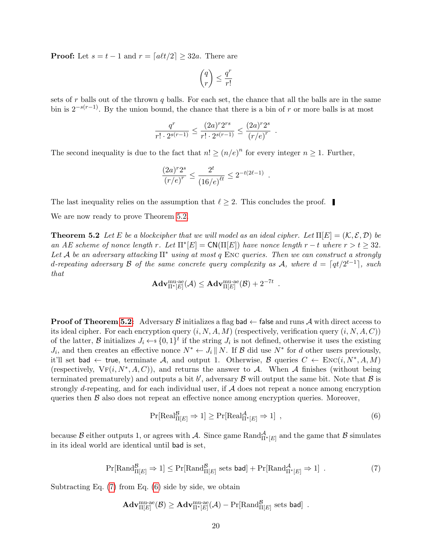**Proof:** Let  $s = t - 1$  and  $r = \lfloor a\ell t/2 \rfloor \geq 32a$ . There are

$$
\binom{q}{r}\leq \frac{q^r}{r!}
$$

sets of r balls out of the thrown q balls. For each set, the chance that all the balls are in the same bin is  $2^{-s(r-1)}$ . By the union bound, the chance that there is a bin of r or more balls is at most

$$
\frac{q^r}{r! \cdot 2^{s(r-1)}} \le \frac{(2a)^r 2^{rs}}{r! \cdot 2^{s(r-1)}} \le \frac{(2a)^r 2^s}{(r/e)^r}.
$$

The second inequality is due to the fact that  $n! \geq (n/e)^n$  for every integer  $n \geq 1$ . Further,

$$
\frac{(2a)^r 2^s}{(r/e)^r} \le \frac{2^t}{(16/e)^{\ell t}} \le 2^{-t(2\ell-1)}.
$$

The last inequality relies on the assumption that  $\ell > 2$ . This concludes the proof.

<span id="page-19-0"></span>We are now ready to prove Theorem [5.2.](#page-19-0)

**Theorem 5.2** Let E be a blockcipher that we will model as an ideal cipher. Let  $\Pi[E] = (\mathcal{K}, \mathcal{E}, \mathcal{D})$  be an AE scheme of nonce length r. Let  $\Pi^* [E] = \text{CN}(\Pi[E])$  have nonce length  $r - t$  where  $r > t \geq 32$ . Let A be an adversary attacking  $\Pi^*$  using at most q ENC queries. Then we can construct a strongly d-repeating adversary B of the same concrete query complexity as A, where  $d = \lceil qt/2^{t-1} \rceil$ , such that

$$
\mathbf{Adv}_{\Pi^*[E]}^{\mathrm{mu-ae}}(\mathcal{A}) \leq \mathbf{Adv}_{\Pi[E]}^{\mathrm{mu-ae}}(\mathcal{B}) + 2^{-7t} \enspace .
$$

**Proof of Theorem [5.2:](#page-19-0)** Adversary B initializes a flag bad  $\leftarrow$  false and runs A with direct access to its ideal cipher. For each encryption query  $(i, N, A, M)$  (respectively, verification query  $(i, N, A, C)$ ) of the latter, B initializes  $J_i \leftarrow \{0,1\}^t$  if the string  $J_i$  is not defined, otherwise it uses the existing  $J_i$ , and then creates an effective nonce  $N^* \leftarrow J_i \parallel N$ . If  $\mathcal{B}$  did use  $N^*$  for d other users previously, it'll set bad  $\leftarrow$  true, terminate A, and output 1. Otherwise, B queries  $C \leftarrow \text{Enc}(i, N^*, A, M)$ (respectively,  $\mathrm{V}\mathrm{F}(i, N^*, A, C)$ ), and returns the answer to A. When A finishes (without being terminated prematurely) and outputs a bit b', adversary  $\mathcal B$  will output the same bit. Note that  $\mathcal B$  is strongly d-repeating, and for each individual user, if  $A$  does not repeat a nonce among encryption queries then  $\beta$  also does not repeat an effective nonce among encryption queries. Moreover,

<span id="page-19-2"></span>
$$
\Pr[\text{Real}_{\Pi[E]}^{\mathcal{B}} \Rightarrow 1] \ge \Pr[\text{Real}_{\Pi^*[E]}^{\mathcal{A}} \Rightarrow 1], \qquad (6)
$$

<span id="page-19-1"></span>because  $\mathcal B$  either outputs 1, or agrees with  $\mathcal A$ . Since game Rand $_{\Pi^*[E]}^{\mathcal A}$  and the game that  $\mathcal B$  simulates in its ideal world are identical until bad is set,

$$
\Pr[\text{Rand}^{\mathcal{B}}_{\Pi[E]} \Rightarrow 1] \le \Pr[\text{Rand}^{\mathcal{B}}_{\Pi[E]} \text{ sets } \text{bad}] + \Pr[\text{Rand}^{\mathcal{A}}_{\Pi^*[E]} \Rightarrow 1] . \tag{7}
$$

Subtracting Eq.  $(7)$  from Eq.  $(6)$  side by side, we obtain

$$
\mathbf{Adv}_{\Pi[E]}^{\text{mu-ae}}(\mathcal{B}) \geq \mathbf{Adv}_{\Pi^*[E]}^{\text{mu-ae}}(\mathcal{A}) - \Pr[\text{Rand}_{\Pi[E]}^{\mathcal{B}} \text{ sets bad}] \enspace .
$$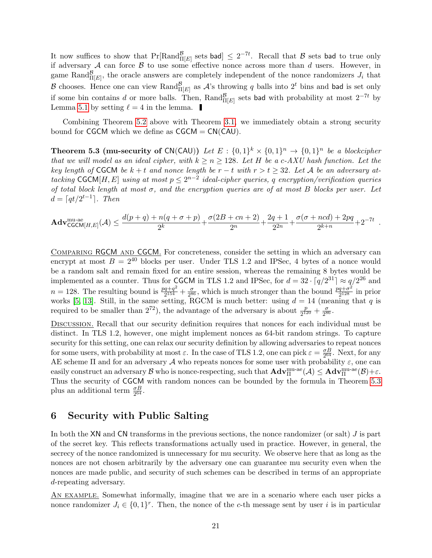<span id="page-20-2"></span>It now suffices to show that  $Pr[Rand_{\Pi[E]}^{\mathcal{B}}]$  sets bad]  $\leq 2^{-7t}$ . Recall that  $\mathcal{B}$  sets bad to true only if adversary  $A$  can force  $B$  to use some effective nonce across more than  $d$  users. However, in game Rand $_{\Pi[E]}^{\mathcal{B}}$ , the oracle answers are completely independent of the nonce randomizers  $J_i$  that B chooses. Hence one can view  $\text{Rand}_{\Pi[E]}^{\mathcal{B}}$  as  $\mathcal{A}$ 's throwing q balls into  $2^t$  bins and bad is set only if some bin contains d or more balls. Then,  $\text{Rand}_{\Pi[E]}^{\mathcal{B}}$  sets bad with probability at most  $2^{-7t}$  by Lemma [5.1](#page-18-2) by setting  $\ell = 4$  in the lemma.

Combining Theorem [5.2](#page-19-0) above with Theorem [3.1,](#page-8-2) we immediately obtain a strong security bound for CGCM which we define as  $CGCM = CN(CAU)$ .

<span id="page-20-1"></span>**Theorem 5.3 (mu-security of CN(CAU))** Let  $E: \{0,1\}^k \times \{0,1\}^n \rightarrow \{0,1\}^n$  be a blockcipher that we will model as an ideal cipher, with  $k \ge n \ge 128$ . Let H be a c-AXU hash function. Let the key length of CGCM be  $k + t$  and nonce length be  $r - t$  with  $r > t \geq 32$ . Let A be an adversary attacking CGCM[H, E] using at most  $p \leq 2^{n-2}$  ideal-cipher queries, q encryption/verification queries of total block length at most  $\sigma$ , and the encryption queries are of at most B blocks per user. Let  $d = \lceil qt/2^{t-1} \rceil$ . Then

$$
\mathbf{Adv}^{\text{mu-ae}}_{\mathsf{CGCM}[H,E]}(\mathcal{A}) \leq \frac{d(p+q) + n(q+\sigma+p)}{2^k} + \frac{\sigma(2B+cn+2)}{2^n} + \frac{2q+1}{2^{2n}} + \frac{\sigma(\sigma + ncd) + 2pq}{2^{k+n}} + 2^{-7t}.
$$

COMPARING RGCM AND CGCM. For concreteness, consider the setting in which an adversary can encrypt at most  $B = 2^{40}$  blocks per user. Under TLS 1.2 and IPSec, 4 bytes of a nonce would be a random salt and remain fixed for an entire session, whereas the remaining 8 bytes would be implemented as a counter. Thus for CGCM in TLS 1.2 and IPSec, for  $d = 32 \cdot \lceil q/2^{31} \rceil \approx q/2^{26}$  and  $n = 128$ . The resulting bound is  $\frac{pq+q^2}{2^{154}}$  $\frac{q+q^2}{2^{154}}+\frac{\sigma}{2^8}$  $\frac{\sigma}{2^{86}}$ , which is much stronger than the bound  $\frac{pq+\sigma^2}{2^{128}}$  $\frac{q+\sigma^2}{2^{128}}$  in prior works [\[5,](#page-21-5) [13\]](#page-22-4). Still, in the same setting, RGCM is much better: using  $d = 14$  (meaning that q is required to be smaller than  $2^{72}$ ), the advantage of the adversary is about  $\frac{p}{2^{120}} + \frac{\sigma}{2^8}$  $\frac{\sigma}{2^{86}}.$ 

Discussion. Recall that our security definition requires that nonces for each individual must be distinct. In TLS 1.2, however, one might implement nonces as 64-bit random strings. To capture security for this setting, one can relax our security definition by allowing adversaries to repeat nonces for some users, with probability at most  $\varepsilon$ . In the case of TLS 1.2, one can pick  $\varepsilon = \frac{\sigma B}{264}$  $\frac{\sigma B}{2^{64}}$ . Next, for any AE scheme  $\Pi$  and for an adversary A who repeats nonces for some user with probability  $\varepsilon$ , one can easily construct an adversary  $\mathcal B$  who is nonce-respecting, such that  $\mathbf{Adv}_{\Pi}^{\text{mu-ae}}(\mathcal A)\leq \mathbf{Adv}_{\Pi}^{\text{mu-ae}}(\mathcal B)+\varepsilon.$ Thus the security of CGCM with random nonces can be bounded by the formula in Theorem [5.3](#page-20-1) plus an additional term  $\frac{\sigma B}{2^{64}}$ .

# <span id="page-20-0"></span>6 Security with Public Salting

In both the  $XN$  and  $CN$  transforms in the previous sections, the nonce randomizer (or salt)  $J$  is part of the secret key. This reflects transformations actually used in practice. However, in general, the secrecy of the nonce randomized is unnecessary for mu security. We observe here that as long as the nonces are not chosen arbitrarily by the adversary one can guarantee mu security even when the nonces are made public, and security of such schemes can be described in terms of an appropriate d-repeating adversary.

An example. Somewhat informally, imagine that we are in a scenario where each user picks a nonce randomizer  $J_i \in \{0,1\}^r$ . Then, the nonce of the c-th message sent by user i is in particular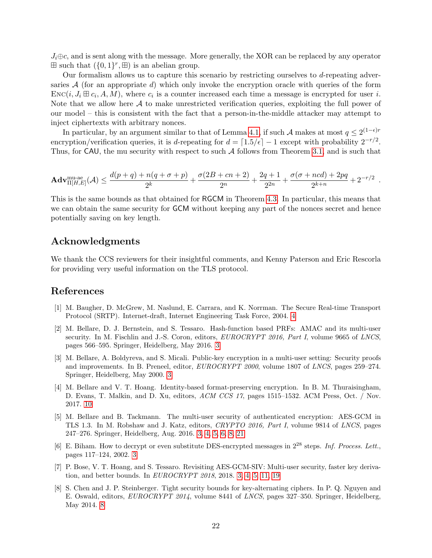$J_i \oplus c$ , and is sent along with the message. More generally, the XOR can be replaced by any operator  $\boxplus$  such that  $(\{0,1\}^r, \boxplus)$  is an abelian group.

Our formalism allows us to capture this scenario by restricting ourselves to d-repeating adversaries  $A$  (for an appropriate d) which only invoke the encryption oracle with queries of the form  $Enc(i, J_i \boxplus c_i, A, M)$ , where  $c_i$  is a counter increased each time a message is encrypted for user i. Note that we allow here  $A$  to make unrestricted verification queries, exploiting the full power of our model – this is consistent with the fact that a person-in-the-middle attacker may attempt to inject ciphertexts with arbitrary nonces.

In particular, by an argument similar to that of Lemma [4.1,](#page-16-2) if such  $\mathcal A$  makes at most  $q \leq 2^{(1-\epsilon)r}$ encryption/verification queries, it is d-repeating for  $d = \lfloor 1.5/\epsilon \rfloor - 1$  except with probability  $2^{-r/2}$ . Thus, for CAU, the mu security with respect to such  $A$  follows from Theorem [3.1,](#page-8-2) and is such that

$$
\mathbf{Adv}_{\Pi[H,E]}^{\text{mu-ae}}(\mathcal{A}) \le \frac{d(p+q) + n(q+\sigma+p)}{2^k} + \frac{\sigma(2B+cn+2)}{2^n} + \frac{2q+1}{2^{2n}} + \frac{\sigma(\sigma+ncd)+2pq}{2^{k+n}} + 2^{-r/2}.
$$

This is the same bounds as that obtained for RGCM in Theorem [4.3.](#page-18-3) In particular, this means that we can obtain the same security for GCM without keeping any part of the nonces secret and hence potentially saving on key length.

### <span id="page-21-0"></span>Acknowledgments

We thank the CCS reviewers for their insightful comments, and Kenny Paterson and Eric Rescorla for providing very useful information on the TLS protocol.

### References

- <span id="page-21-6"></span>[1] M. Baugher, D. McGrew, M. Naslund, E. Carrara, and K. Norrman. The Secure Real-time Transport Protocol (SRTP). Internet-draft, Internet Engineering Task Force, 2004. [4](#page-3-1)
- <span id="page-21-3"></span>[2] M. Bellare, D. J. Bernstein, and S. Tessaro. Hash-function based PRFs: AMAC and its multi-user security. In M. Fischlin and J.-S. Coron, editors, EUROCRYPT 2016, Part I, volume 9665 of LNCS, pages 566–595. Springer, Heidelberg, May 2016. [3](#page-2-3)
- <span id="page-21-2"></span>[3] M. Bellare, A. Boldyreva, and S. Micali. Public-key encryption in a multi-user setting: Security proofs and improvements. In B. Preneel, editor, EUROCRYPT 2000, volume 1807 of LNCS, pages 259–274. Springer, Heidelberg, May 2000. [3](#page-2-3)
- <span id="page-21-8"></span>[4] M. Bellare and V. T. Hoang. Identity-based format-preserving encryption. In B. M. Thuraisingham, D. Evans, T. Malkin, and D. Xu, editors, ACM CCS 17, pages 1515–1532. ACM Press, Oct. / Nov. 2017. [10](#page-9-2)
- <span id="page-21-5"></span>[5] M. Bellare and B. Tackmann. The multi-user security of authenticated encryption: AES-GCM in TLS 1.3. In M. Robshaw and J. Katz, editors, CRYPTO 2016, Part I, volume 9814 of LNCS, pages 247–276. Springer, Heidelberg, Aug. 2016. [3,](#page-2-3) [4,](#page-3-1) [5,](#page-4-2) [6,](#page-5-1) [8,](#page-7-4) [21](#page-20-2)
- <span id="page-21-1"></span>[6] E. Biham. How to decrypt or even substitute DES-encrypted messages in 2<sup>28</sup> steps. Inf. Process. Lett., pages 117–124, 2002. [3](#page-2-3)
- <span id="page-21-4"></span>[7] P. Bose, V. T. Hoang, and S. Tessaro. Revisiting AES-GCM-SIV: Multi-user security, faster key derivation, and better bounds. In EUROCRYPT 2018, 2018. [3,](#page-2-3) [4,](#page-3-1) [5,](#page-4-2) [11,](#page-10-1) [19](#page-18-4)
- <span id="page-21-7"></span>[8] S. Chen and J. P. Steinberger. Tight security bounds for key-alternating ciphers. In P. Q. Nguyen and E. Oswald, editors, EUROCRYPT 2014, volume 8441 of LNCS, pages 327–350. Springer, Heidelberg, May 2014. [8](#page-7-4)